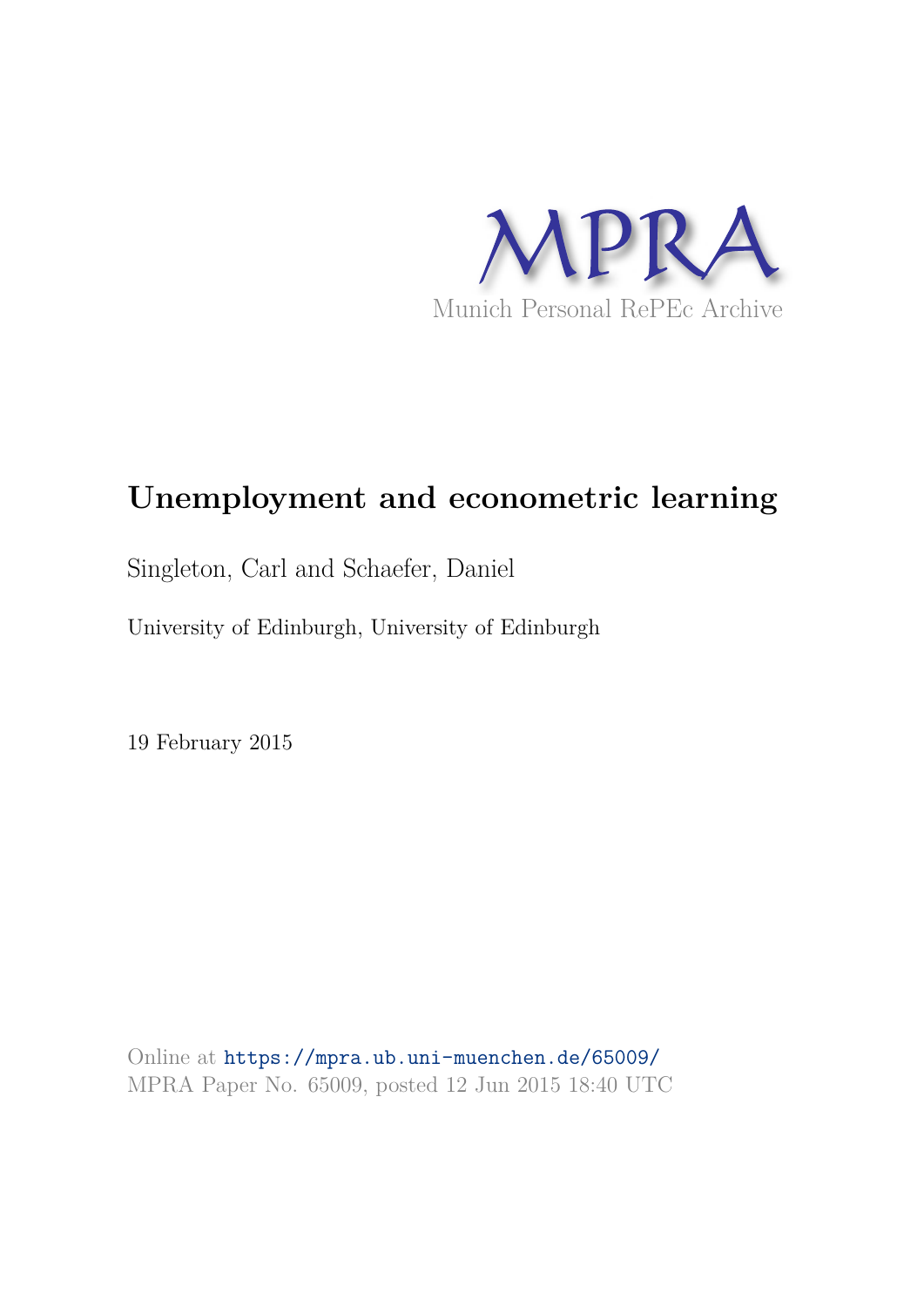

# **Unemployment and econometric learning**

Singleton, Carl and Schaefer, Daniel

University of Edinburgh, University of Edinburgh

19 February 2015

Online at https://mpra.ub.uni-muenchen.de/65009/ MPRA Paper No. 65009, posted 12 Jun 2015 18:40 UTC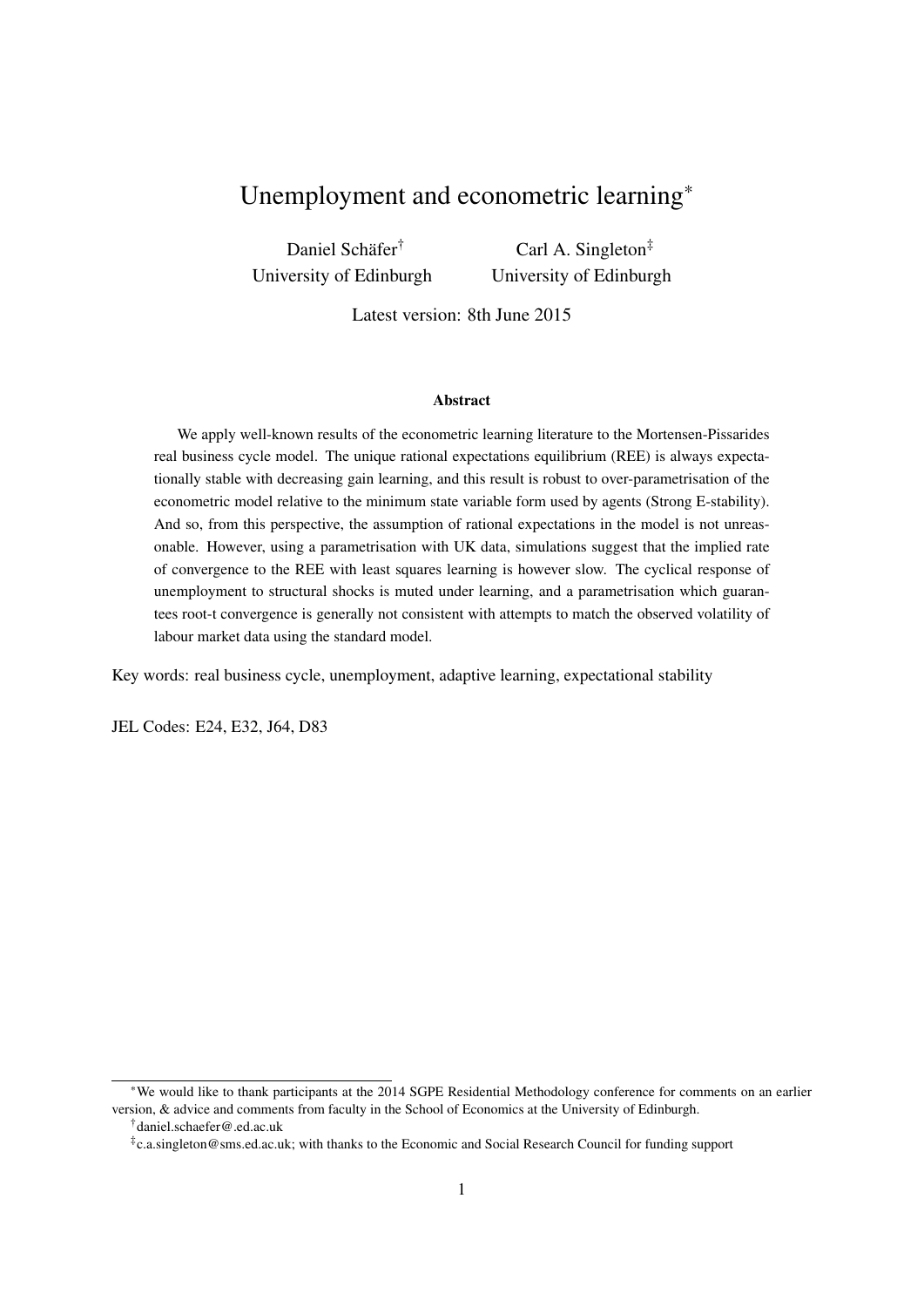# Unemployment and econometric learning\*

Daniel Schäfer† University of Edinburgh

Carl A. Singleton‡ University of Edinburgh

Latest version: 8th June 2015

#### Abstract

We apply well-known results of the econometric learning literature to the Mortensen-Pissarides real business cycle model. The unique rational expectations equilibrium (REE) is always expectationally stable with decreasing gain learning, and this result is robust to over-parametrisation of the econometric model relative to the minimum state variable form used by agents (Strong E-stability). And so, from this perspective, the assumption of rational expectations in the model is not unreasonable. However, using a parametrisation with UK data, simulations suggest that the implied rate of convergence to the REE with least squares learning is however slow. The cyclical response of unemployment to structural shocks is muted under learning, and a parametrisation which guarantees root-t convergence is generally not consistent with attempts to match the observed volatility of labour market data using the standard model.

Key words: real business cycle, unemployment, adaptive learning, expectational stability

JEL Codes: E24, E32, J64, D83

<sup>\*</sup>We would like to thank participants at the 2014 SGPE Residential Methodology conference for comments on an earlier version, & advice and comments from faculty in the School of Economics at the University of Edinburgh. †daniel.schaefer@.ed.ac.uk

<sup>‡</sup> c.a.singleton@sms.ed.ac.uk; with thanks to the Economic and Social Research Council for funding support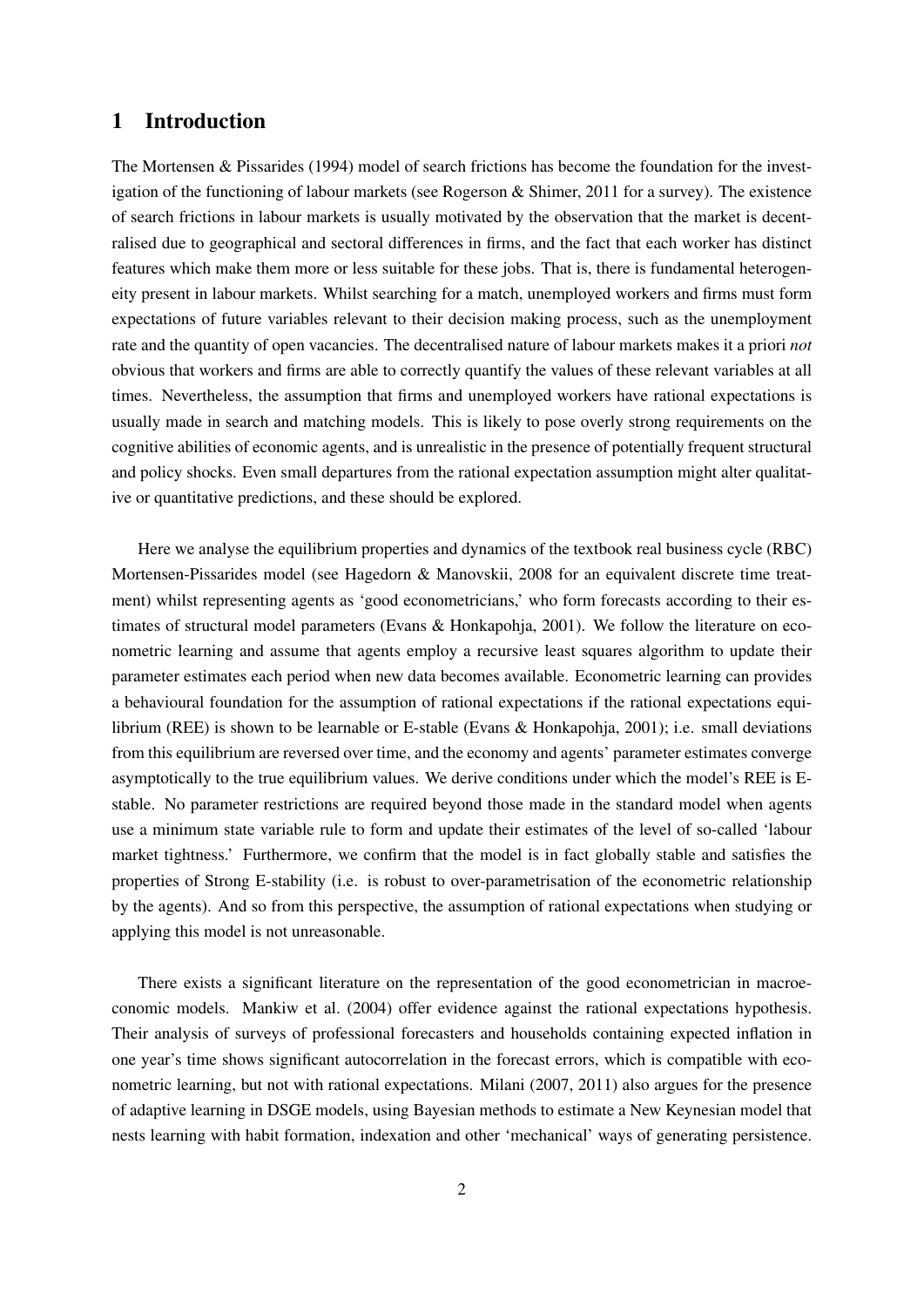# 1 Introduction

The Mortensen & Pissarides (1994) model of search frictions has become the foundation for the investigation of the functioning of labour markets (see Rogerson & Shimer, 2011 for a survey). The existence of search frictions in labour markets is usually motivated by the observation that the market is decentralised due to geographical and sectoral differences in firms, and the fact that each worker has distinct features which make them more or less suitable for these jobs. That is, there is fundamental heterogeneity present in labour markets. Whilst searching for a match, unemployed workers and firms must form expectations of future variables relevant to their decision making process, such as the unemployment rate and the quantity of open vacancies. The decentralised nature of labour markets makes it a priori *not* obvious that workers and firms are able to correctly quantify the values of these relevant variables at all times. Nevertheless, the assumption that firms and unemployed workers have rational expectations is usually made in search and matching models. This is likely to pose overly strong requirements on the cognitive abilities of economic agents, and is unrealistic in the presence of potentially frequent structural and policy shocks. Even small departures from the rational expectation assumption might alter qualitative or quantitative predictions, and these should be explored.

Here we analyse the equilibrium properties and dynamics of the textbook real business cycle (RBC) Mortensen-Pissarides model (see Hagedorn & Manovskii, 2008 for an equivalent discrete time treatment) whilst representing agents as 'good econometricians,' who form forecasts according to their estimates of structural model parameters (Evans & Honkapohja, 2001). We follow the literature on econometric learning and assume that agents employ a recursive least squares algorithm to update their parameter estimates each period when new data becomes available. Econometric learning can provides a behavioural foundation for the assumption of rational expectations if the rational expectations equilibrium (REE) is shown to be learnable or E-stable (Evans & Honkapohja, 2001); i.e. small deviations from this equilibrium are reversed over time, and the economy and agents' parameter estimates converge asymptotically to the true equilibrium values. We derive conditions under which the model's REE is Estable. No parameter restrictions are required beyond those made in the standard model when agents use a minimum state variable rule to form and update their estimates of the level of so-called 'labour market tightness.' Furthermore, we confirm that the model is in fact globally stable and satisfies the properties of Strong E-stability (i.e. is robust to over-parametrisation of the econometric relationship by the agents). And so from this perspective, the assumption of rational expectations when studying or applying this model is not unreasonable.

There exists a significant literature on the representation of the good econometrician in macroeconomic models. Mankiw et al. (2004) offer evidence against the rational expectations hypothesis. Their analysis of surveys of professional forecasters and households containing expected inflation in one year's time shows significant autocorrelation in the forecast errors, which is compatible with econometric learning, but not with rational expectations. Milani (2007, 2011) also argues for the presence of adaptive learning in DSGE models, using Bayesian methods to estimate a New Keynesian model that nests learning with habit formation, indexation and other 'mechanical' ways of generating persistence.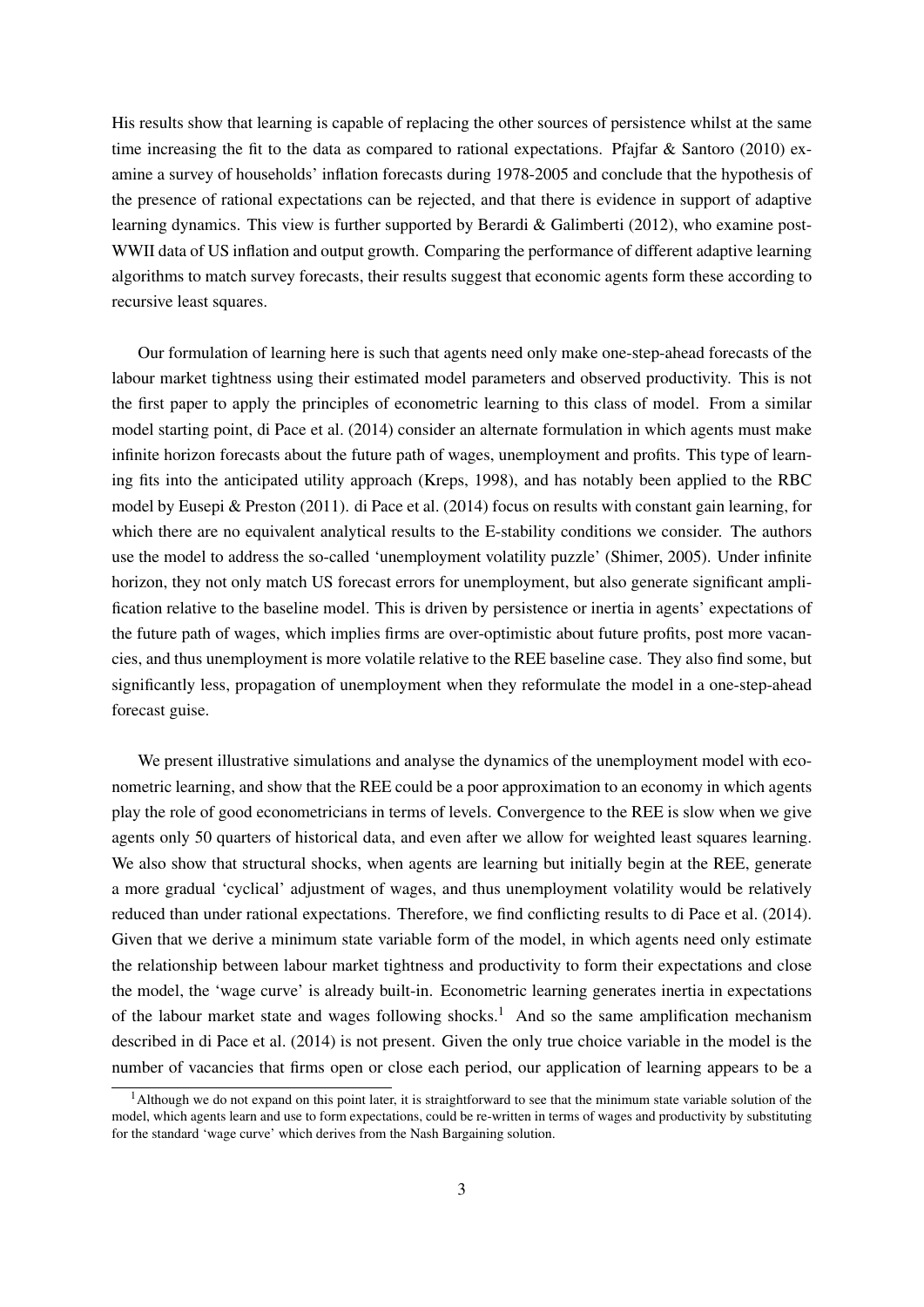His results show that learning is capable of replacing the other sources of persistence whilst at the same time increasing the fit to the data as compared to rational expectations. Pfajfar  $\&$  Santoro (2010) examine a survey of households' inflation forecasts during 1978-2005 and conclude that the hypothesis of the presence of rational expectations can be rejected, and that there is evidence in support of adaptive learning dynamics. This view is further supported by Berardi & Galimberti (2012), who examine post-WWII data of US inflation and output growth. Comparing the performance of different adaptive learning algorithms to match survey forecasts, their results suggest that economic agents form these according to recursive least squares.

Our formulation of learning here is such that agents need only make one-step-ahead forecasts of the labour market tightness using their estimated model parameters and observed productivity. This is not the first paper to apply the principles of econometric learning to this class of model. From a similar model starting point, di Pace et al. (2014) consider an alternate formulation in which agents must make infinite horizon forecasts about the future path of wages, unemployment and profits. This type of learning fits into the anticipated utility approach (Kreps, 1998), and has notably been applied to the RBC model by Eusepi & Preston (2011). di Pace et al. (2014) focus on results with constant gain learning, for which there are no equivalent analytical results to the E-stability conditions we consider. The authors use the model to address the so-called 'unemployment volatility puzzle' (Shimer, 2005). Under infinite horizon, they not only match US forecast errors for unemployment, but also generate significant amplification relative to the baseline model. This is driven by persistence or inertia in agents' expectations of the future path of wages, which implies firms are over-optimistic about future profits, post more vacancies, and thus unemployment is more volatile relative to the REE baseline case. They also find some, but significantly less, propagation of unemployment when they reformulate the model in a one-step-ahead forecast guise.

We present illustrative simulations and analyse the dynamics of the unemployment model with econometric learning, and show that the REE could be a poor approximation to an economy in which agents play the role of good econometricians in terms of levels. Convergence to the REE is slow when we give agents only 50 quarters of historical data, and even after we allow for weighted least squares learning. We also show that structural shocks, when agents are learning but initially begin at the REE, generate a more gradual 'cyclical' adjustment of wages, and thus unemployment volatility would be relatively reduced than under rational expectations. Therefore, we find conflicting results to di Pace et al. (2014). Given that we derive a minimum state variable form of the model, in which agents need only estimate the relationship between labour market tightness and productivity to form their expectations and close the model, the 'wage curve' is already built-in. Econometric learning generates inertia in expectations of the labour market state and wages following shocks.<sup>1</sup> And so the same amplification mechanism described in di Pace et al. (2014) is not present. Given the only true choice variable in the model is the number of vacancies that firms open or close each period, our application of learning appears to be a

 $<sup>1</sup>$ Although we do not expand on this point later, it is straightforward to see that the minimum state variable solution of the</sup> model, which agents learn and use to form expectations, could be re-written in terms of wages and productivity by substituting for the standard 'wage curve' which derives from the Nash Bargaining solution.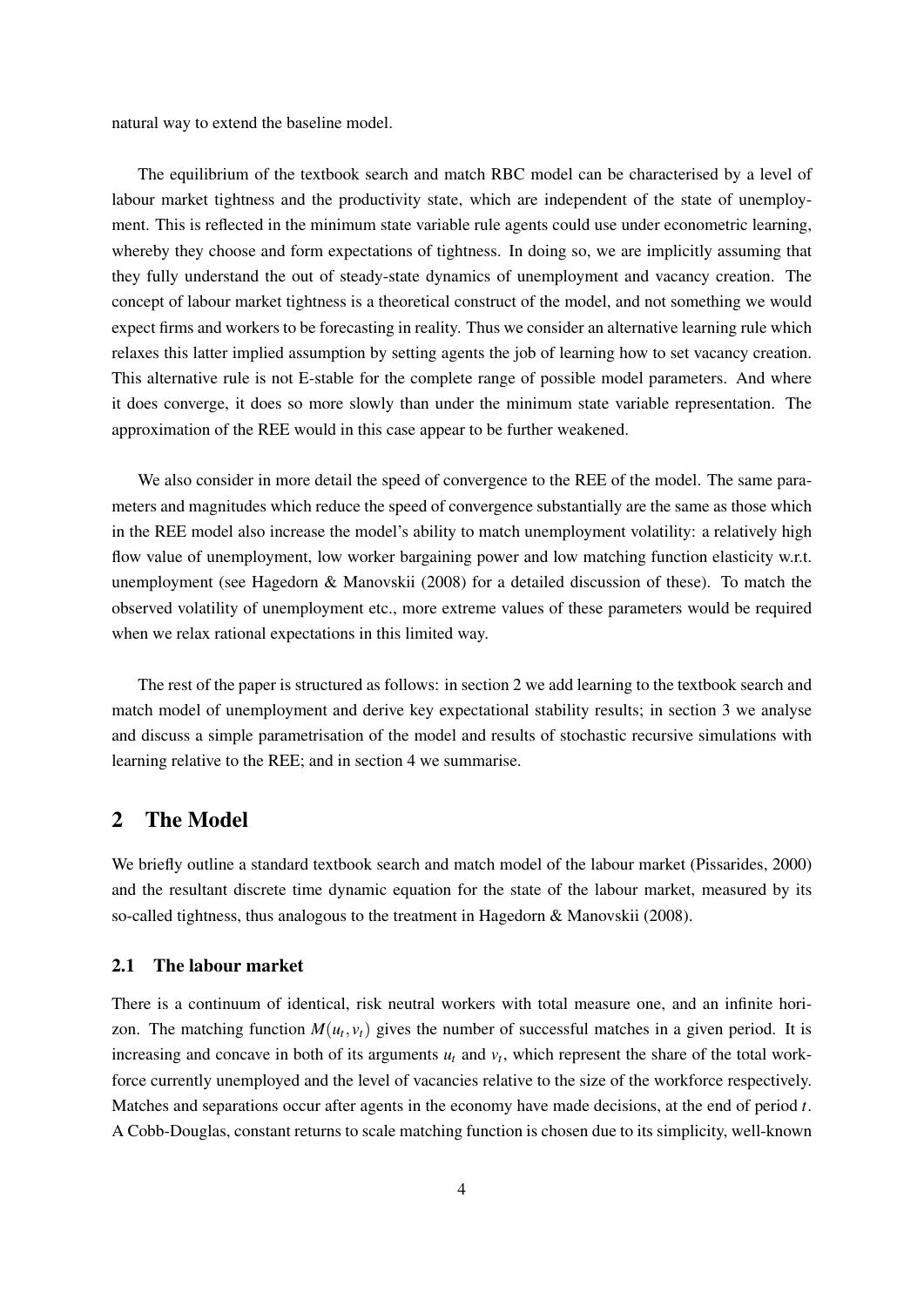natural way to extend the baseline model.

The equilibrium of the textbook search and match RBC model can be characterised by a level of labour market tightness and the productivity state, which are independent of the state of unemployment. This is reflected in the minimum state variable rule agents could use under econometric learning, whereby they choose and form expectations of tightness. In doing so, we are implicitly assuming that they fully understand the out of steady-state dynamics of unemployment and vacancy creation. The concept of labour market tightness is a theoretical construct of the model, and not something we would expect firms and workers to be forecasting in reality. Thus we consider an alternative learning rule which relaxes this latter implied assumption by setting agents the job of learning how to set vacancy creation. This alternative rule is not E-stable for the complete range of possible model parameters. And where it does converge, it does so more slowly than under the minimum state variable representation. The approximation of the REE would in this case appear to be further weakened.

We also consider in more detail the speed of convergence to the REE of the model. The same parameters and magnitudes which reduce the speed of convergence substantially are the same as those which in the REE model also increase the model's ability to match unemployment volatility: a relatively high flow value of unemployment, low worker bargaining power and low matching function elasticity w.r.t. unemployment (see Hagedorn & Manovskii (2008) for a detailed discussion of these). To match the observed volatility of unemployment etc., more extreme values of these parameters would be required when we relax rational expectations in this limited way.

The rest of the paper is structured as follows: in section 2 we add learning to the textbook search and match model of unemployment and derive key expectational stability results; in section 3 we analyse and discuss a simple parametrisation of the model and results of stochastic recursive simulations with learning relative to the REE; and in section 4 we summarise.

# 2 The Model

We briefly outline a standard textbook search and match model of the labour market (Pissarides, 2000) and the resultant discrete time dynamic equation for the state of the labour market, measured by its so-called tightness, thus analogous to the treatment in Hagedorn & Manovskii (2008).

#### 2.1 The labour market

There is a continuum of identical, risk neutral workers with total measure one, and an infinite horizon. The matching function  $M(u_t, v_t)$  gives the number of successful matches in a given period. It is increasing and concave in both of its arguments  $u_t$  and  $v_t$ , which represent the share of the total workforce currently unemployed and the level of vacancies relative to the size of the workforce respectively. Matches and separations occur after agents in the economy have made decisions, at the end of period *t*. A Cobb-Douglas, constant returns to scale matching function is chosen due to its simplicity, well-known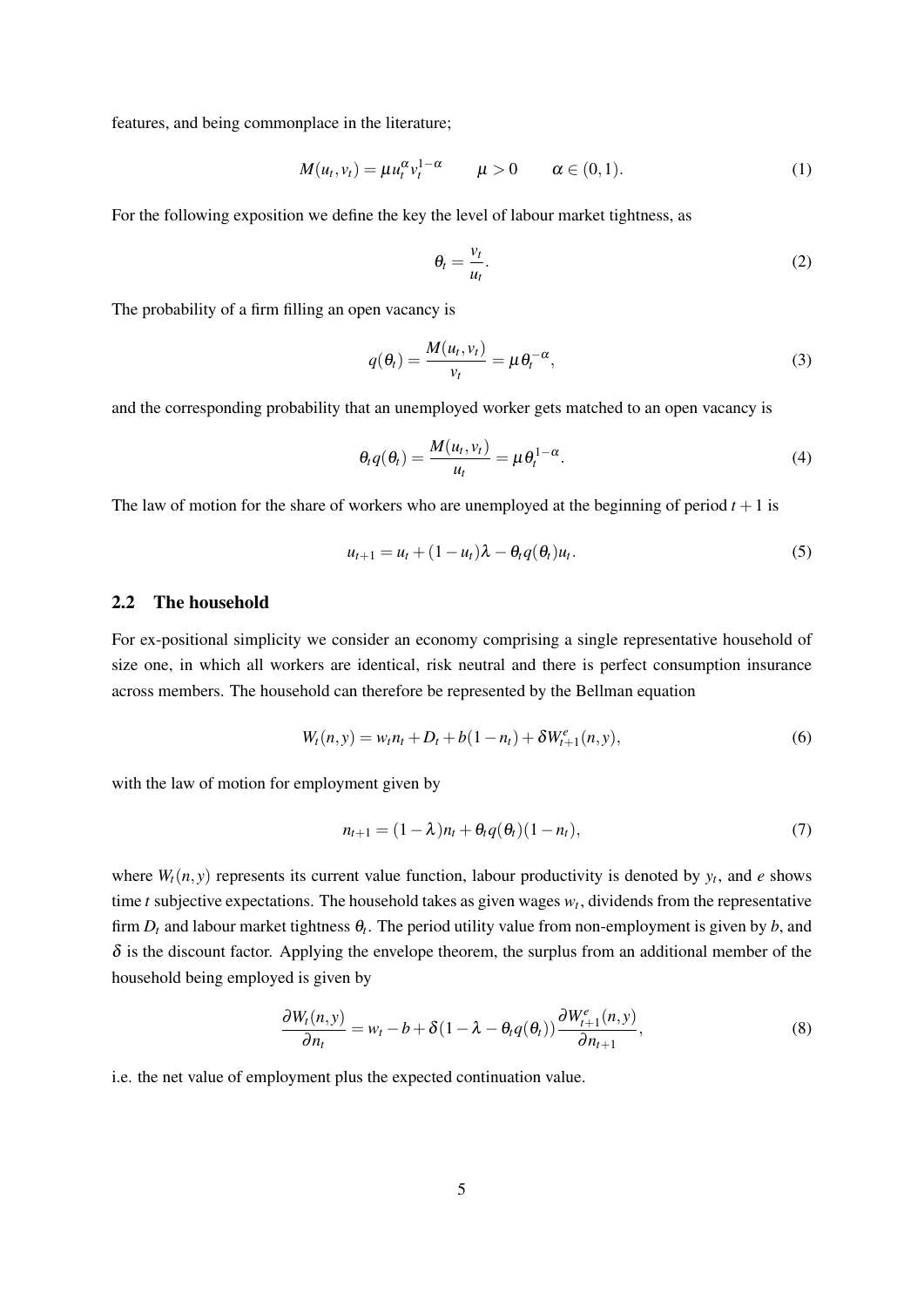features, and being commonplace in the literature;

$$
M(u_t, v_t) = \mu u_t^{\alpha} v_t^{1-\alpha} \qquad \mu > 0 \qquad \alpha \in (0,1). \tag{1}
$$

For the following exposition we define the key the level of labour market tightness, as

$$
\theta_t = \frac{v_t}{u_t}.\tag{2}
$$

The probability of a firm filling an open vacancy is

$$
q(\theta_t) = \frac{M(u_t, v_t)}{v_t} = \mu \theta_t^{-\alpha},
$$
\n(3)

and the corresponding probability that an unemployed worker gets matched to an open vacancy is

$$
\theta_t q(\theta_t) = \frac{M(u_t, v_t)}{u_t} = \mu \theta_t^{1-\alpha}.
$$
\n(4)

The law of motion for the share of workers who are unemployed at the beginning of period  $t + 1$  is

$$
u_{t+1} = u_t + (1 - u_t)\lambda - \theta_t q(\theta_t) u_t.
$$
\n
$$
(5)
$$

# 2.2 The household

For ex-positional simplicity we consider an economy comprising a single representative household of size one, in which all workers are identical, risk neutral and there is perfect consumption insurance across members. The household can therefore be represented by the Bellman equation

$$
W_t(n, y) = w_t n_t + D_t + b(1 - n_t) + \delta W_{t+1}^e(n, y),
$$
\n(6)

with the law of motion for employment given by

$$
n_{t+1} = (1 - \lambda)n_t + \theta_t q(\theta_t)(1 - n_t), \qquad (7)
$$

where  $W_t(n, y)$  represents its current value function, labour productivity is denoted by  $y_t$ , and *e* shows time  $t$  subjective expectations. The household takes as given wages  $w_t$ , dividends from the representative firm  $D_t$  and labour market tightness  $\theta_t$ . The period utility value from non-employment is given by  $b$ , and  $\delta$  is the discount factor. Applying the envelope theorem, the surplus from an additional member of the household being employed is given by

$$
\frac{\partial W_t(n, y)}{\partial n_t} = w_t - b + \delta(1 - \lambda - \theta_t q(\theta_t)) \frac{\partial W_{t+1}^e(n, y)}{\partial n_{t+1}},
$$
\n(8)

i.e. the net value of employment plus the expected continuation value.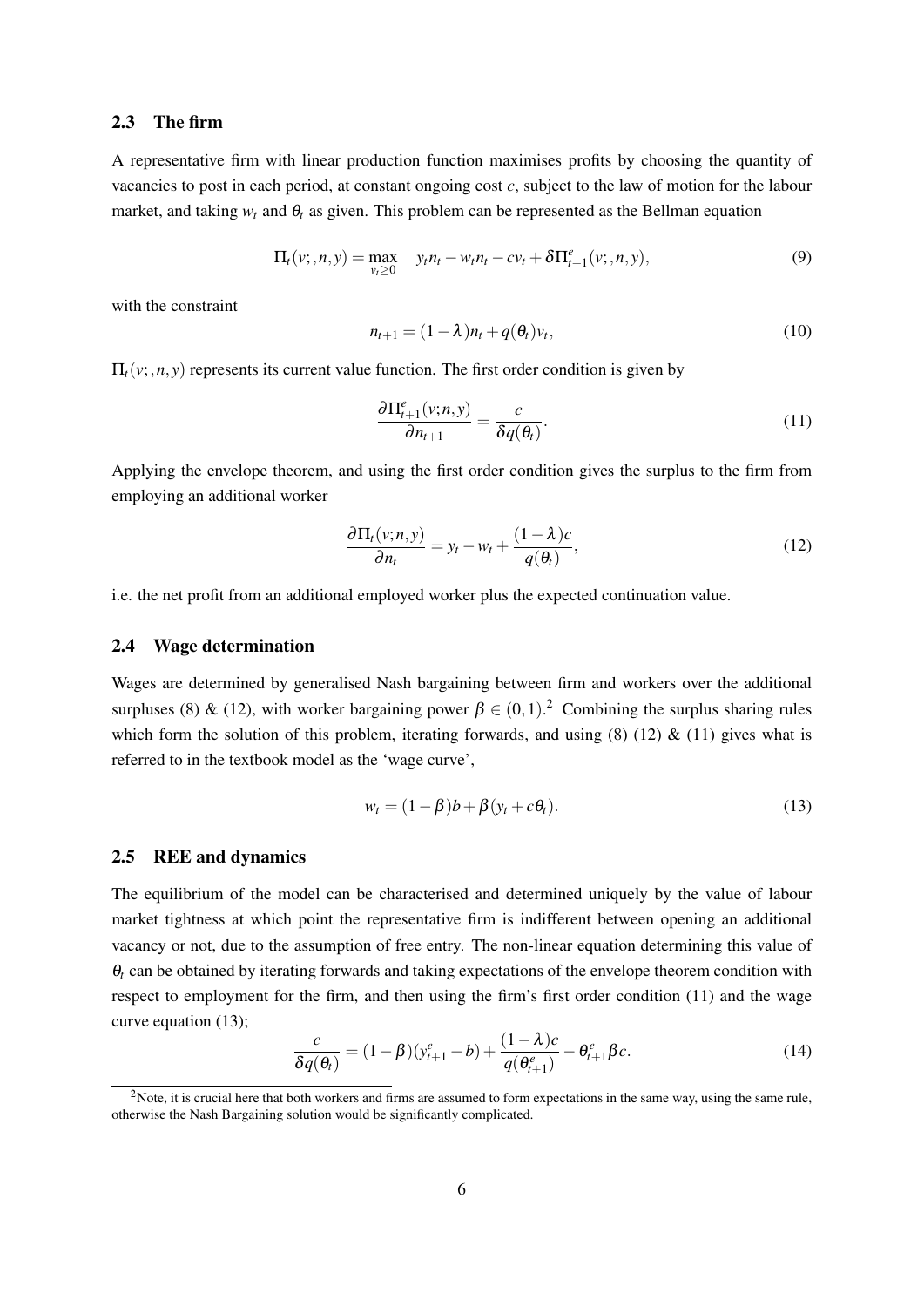#### 2.3 The firm

A representative firm with linear production function maximises profits by choosing the quantity of vacancies to post in each period, at constant ongoing cost *c*, subject to the law of motion for the labour market, and taking  $w_t$  and  $\theta_t$  as given. This problem can be represented as the Bellman equation

$$
\Pi_t(v; n, y) = \max_{v_t \ge 0} \quad y_t n_t - w_t n_t - c v_t + \delta \Pi_{t+1}^e(v; n, y), \tag{9}
$$

with the constraint

$$
n_{t+1} = (1 - \lambda)n_t + q(\theta_t)v_t, \qquad (10)
$$

 $\Pi_t(v; n, y)$  represents its current value function. The first order condition is given by

$$
\frac{\partial \Pi_{t+1}^e(v;n,y)}{\partial n_{t+1}} = \frac{c}{\delta q(\theta_t)}.\tag{11}
$$

Applying the envelope theorem, and using the first order condition gives the surplus to the firm from employing an additional worker

$$
\frac{\partial \Pi_t(v;n,y)}{\partial n_t} = y_t - w_t + \frac{(1-\lambda)c}{q(\theta_t)},
$$
\n(12)

i.e. the net profit from an additional employed worker plus the expected continuation value.

#### 2.4 Wage determination

Wages are determined by generalised Nash bargaining between firm and workers over the additional surpluses (8) & (12), with worker bargaining power  $\beta \in (0,1)$ . Combining the surplus sharing rules which form the solution of this problem, iterating forwards, and using  $(8)$   $(12)$  &  $(11)$  gives what is referred to in the textbook model as the 'wage curve',

$$
w_t = (1 - \beta)b + \beta(y_t + c\theta_t). \tag{13}
$$

#### 2.5 REE and dynamics

The equilibrium of the model can be characterised and determined uniquely by the value of labour market tightness at which point the representative firm is indifferent between opening an additional vacancy or not, due to the assumption of free entry. The non-linear equation determining this value of  $\theta_t$  can be obtained by iterating forwards and taking expectations of the envelope theorem condition with respect to employment for the firm, and then using the firm's first order condition (11) and the wage curve equation (13);

$$
\frac{c}{\delta q(\theta_t)} = (1 - \beta)(y_{t+1}^e - b) + \frac{(1 - \lambda)c}{q(\theta_{t+1}^e)} - \theta_{t+1}^e \beta c.
$$
 (14)

<sup>&</sup>lt;sup>2</sup>Note, it is crucial here that both workers and firms are assumed to form expectations in the same way, using the same rule, otherwise the Nash Bargaining solution would be significantly complicated.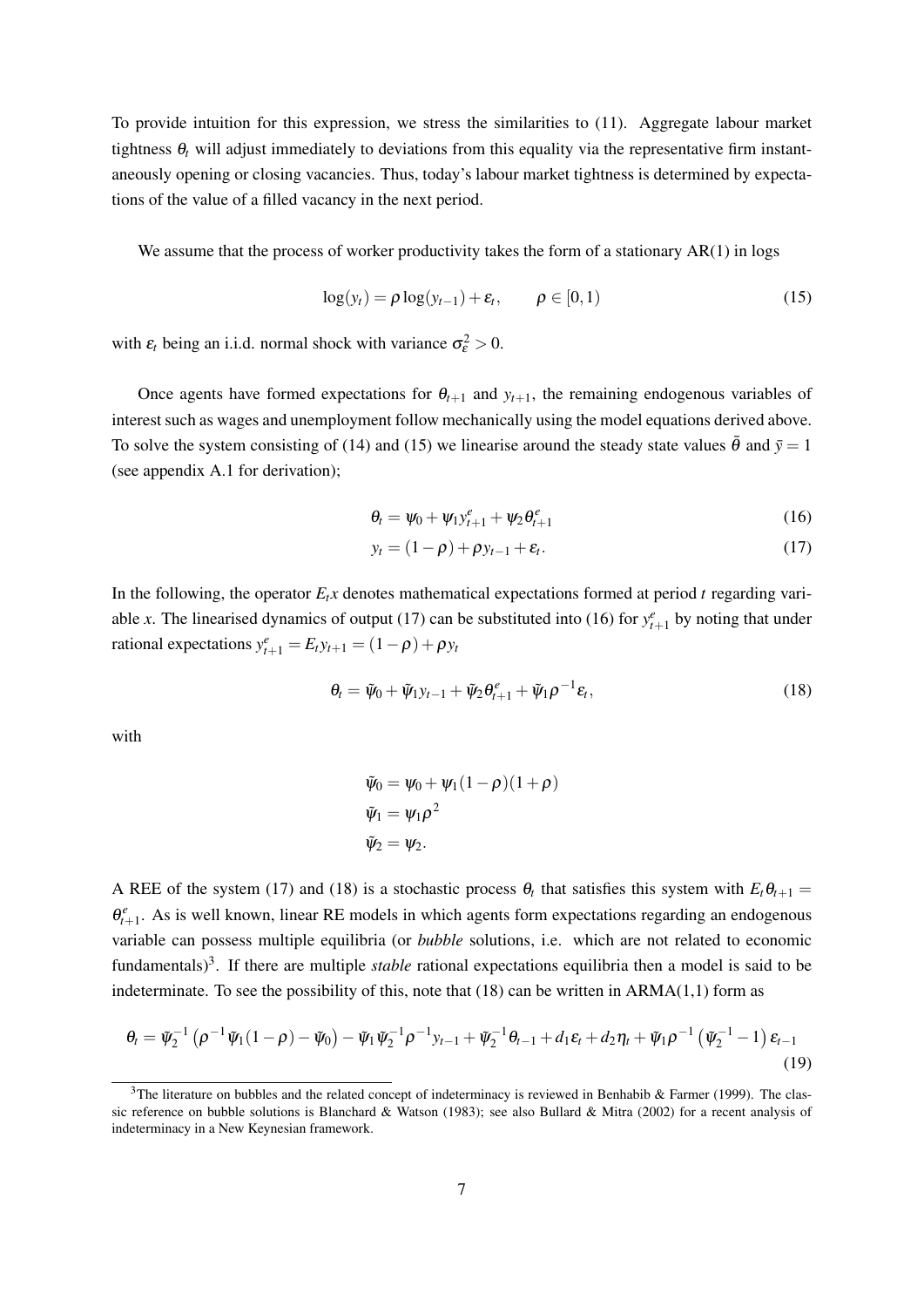To provide intuition for this expression, we stress the similarities to (11). Aggregate labour market tightness  $\theta_t$  will adjust immediately to deviations from this equality via the representative firm instantaneously opening or closing vacancies. Thus, today's labour market tightness is determined by expectations of the value of a filled vacancy in the next period.

We assume that the process of worker productivity takes the form of a stationary  $AR(1)$  in logs

$$
\log(y_t) = \rho \log(y_{t-1}) + \varepsilon_t, \qquad \rho \in [0, 1)
$$
\n(15)

with  $\varepsilon_t$  being an i.i.d. normal shock with variance  $\sigma_{\varepsilon}^2 > 0$ .

Once agents have formed expectations for  $\theta_{t+1}$  and  $y_{t+1}$ , the remaining endogenous variables of interest such as wages and unemployment follow mechanically using the model equations derived above. To solve the system consisting of (14) and (15) we linearise around the steady state values  $\bar{\theta}$  and  $\bar{y} = 1$ (see appendix A.1 for derivation);

$$
\theta_t = \psi_0 + \psi_1 y_{t+1}^e + \psi_2 \theta_{t+1}^e \tag{16}
$$

$$
y_t = (1 - \rho) + \rho y_{t-1} + \varepsilon_t. \tag{17}
$$

In the following, the operator  $E_t x$  denotes mathematical expectations formed at period *t* regarding variable *x*. The linearised dynamics of output (17) can be substituted into (16) for  $y_{t+1}^e$  by noting that under rational expectations  $y_{t+1}^e = E_t y_{t+1} = (1 - \rho) + \rho y_t$ 

$$
\theta_t = \tilde{\psi}_0 + \tilde{\psi}_1 y_{t-1} + \tilde{\psi}_2 \theta_{t+1}^e + \tilde{\psi}_1 \rho^{-1} \varepsilon_t, \qquad (18)
$$

with

$$
\tilde{\psi}_0 = \psi_0 + \psi_1 (1 - \rho)(1 + \rho)
$$
  
\n
$$
\tilde{\psi}_1 = \psi_1 \rho^2
$$
  
\n
$$
\tilde{\psi}_2 = \psi_2.
$$

A REE of the system (17) and (18) is a stochastic process  $\theta_t$  that satisfies this system with  $E_t \theta_{t+1} =$  $\theta_{t+1}^e$ . As is well known, linear RE models in which agents form expectations regarding an endogenous variable can possess multiple equilibria (or *bubble* solutions, i.e. which are not related to economic fundamentals)<sup>3</sup>. If there are multiple *stable* rational expectations equilibria then a model is said to be indeterminate. To see the possibility of this, note that (18) can be written in ARMA(1,1) form as

$$
\theta_t = \tilde{\psi}_2^{-1} \left( \rho^{-1} \tilde{\psi}_1 (1 - \rho) - \tilde{\psi}_0 \right) - \tilde{\psi}_1 \tilde{\psi}_2^{-1} \rho^{-1} y_{t-1} + \tilde{\psi}_2^{-1} \theta_{t-1} + d_1 \varepsilon_t + d_2 \eta_t + \tilde{\psi}_1 \rho^{-1} \left( \tilde{\psi}_2^{-1} - 1 \right) \varepsilon_{t-1}
$$
\n(19)

 $3$ The literature on bubbles and the related concept of indeterminacy is reviewed in Benhabib & Farmer (1999). The classic reference on bubble solutions is Blanchard & Watson (1983); see also Bullard & Mitra (2002) for a recent analysis of indeterminacy in a New Keynesian framework.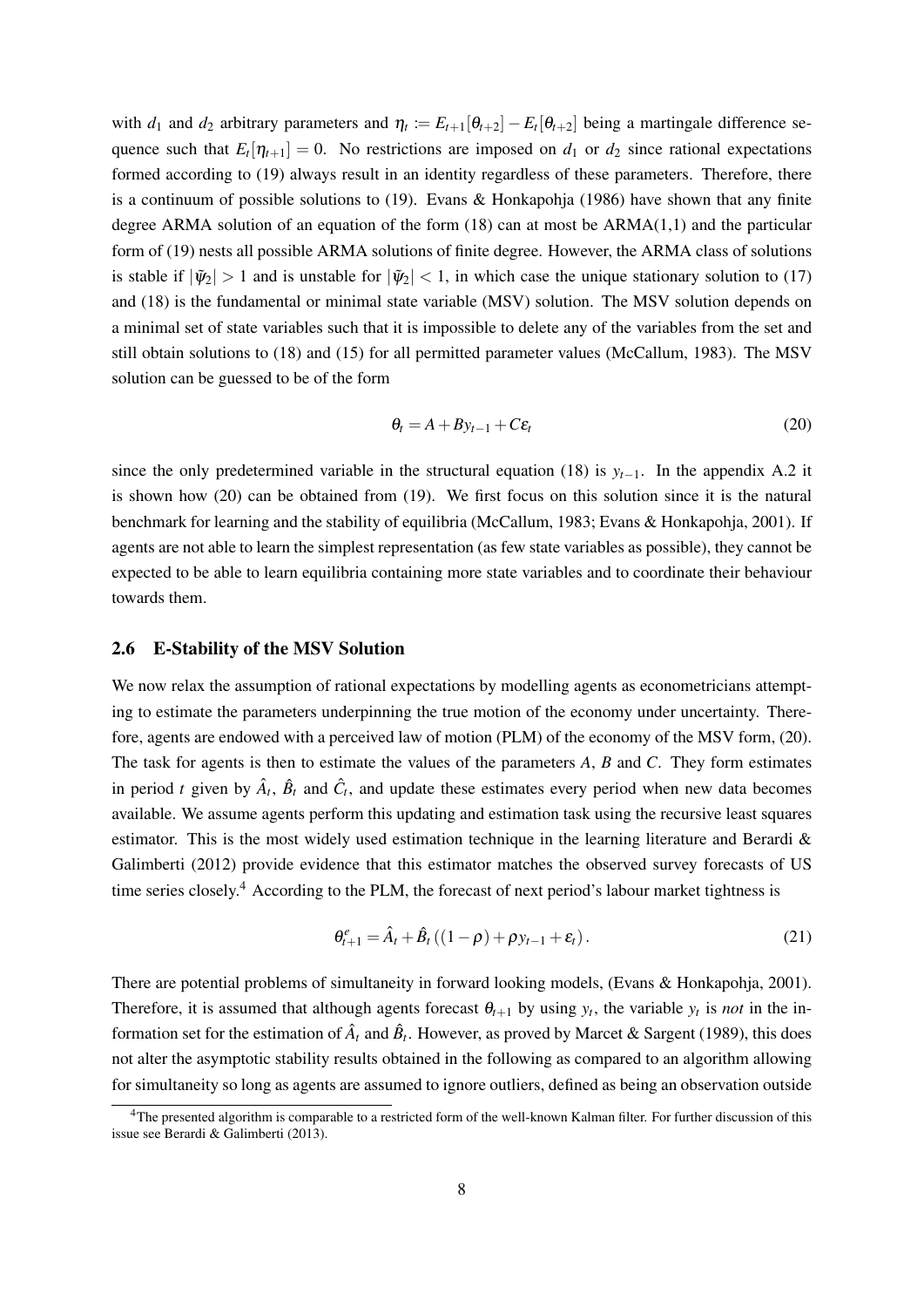with  $d_1$  and  $d_2$  arbitrary parameters and  $\eta_t := E_{t+1}[\theta_{t+2}] - E_t[\theta_{t+2}]$  being a martingale difference sequence such that  $E_t[\eta_{t+1}] = 0$ . No restrictions are imposed on  $d_1$  or  $d_2$  since rational expectations formed according to (19) always result in an identity regardless of these parameters. Therefore, there is a continuum of possible solutions to  $(19)$ . Evans & Honkapohja  $(1986)$  have shown that any finite degree ARMA solution of an equation of the form (18) can at most be ARMA(1,1) and the particular form of (19) nests all possible ARMA solutions of finite degree. However, the ARMA class of solutions is stable if  $|\tilde{\psi}_2| > 1$  and is unstable for  $|\tilde{\psi}_2| < 1$ , in which case the unique stationary solution to (17) and (18) is the fundamental or minimal state variable (MSV) solution. The MSV solution depends on a minimal set of state variables such that it is impossible to delete any of the variables from the set and still obtain solutions to (18) and (15) for all permitted parameter values (McCallum, 1983). The MSV solution can be guessed to be of the form

$$
\theta_t = A + B y_{t-1} + C \varepsilon_t \tag{20}
$$

since the only predetermined variable in the structural equation (18) is  $y_{t-1}$ . In the appendix A.2 it is shown how (20) can be obtained from (19). We first focus on this solution since it is the natural benchmark for learning and the stability of equilibria (McCallum, 1983; Evans & Honkapohja, 2001). If agents are not able to learn the simplest representation (as few state variables as possible), they cannot be expected to be able to learn equilibria containing more state variables and to coordinate their behaviour towards them.

#### 2.6 E-Stability of the MSV Solution

We now relax the assumption of rational expectations by modelling agents as econometricians attempting to estimate the parameters underpinning the true motion of the economy under uncertainty. Therefore, agents are endowed with a perceived law of motion (PLM) of the economy of the MSV form, (20). The task for agents is then to estimate the values of the parameters *A*, *B* and *C*. They form estimates in period *t* given by  $\hat{A}_t$ ,  $\hat{B}_t$  and  $\hat{C}_t$ , and update these estimates every period when new data becomes available. We assume agents perform this updating and estimation task using the recursive least squares estimator. This is the most widely used estimation technique in the learning literature and Berardi & Galimberti (2012) provide evidence that this estimator matches the observed survey forecasts of US time series closely.<sup>4</sup> According to the PLM, the forecast of next period's labour market tightness is

$$
\theta_{t+1}^e = \hat{A}_t + \hat{B}_t ((1 - \rho) + \rho y_{t-1} + \varepsilon_t).
$$
\n(21)

There are potential problems of simultaneity in forward looking models, (Evans & Honkapohja, 2001). Therefore, it is assumed that although agents forecast  $\theta_{t+1}$  by using  $y_t$ , the variable  $y_t$  is *not* in the information set for the estimation of  $\hat{A}_t$  and  $\hat{B}_t$ . However, as proved by Marcet & Sargent (1989), this does not alter the asymptotic stability results obtained in the following as compared to an algorithm allowing for simultaneity so long as agents are assumed to ignore outliers, defined as being an observation outside

<sup>&</sup>lt;sup>4</sup>The presented algorithm is comparable to a restricted form of the well-known Kalman filter. For further discussion of this issue see Berardi & Galimberti (2013).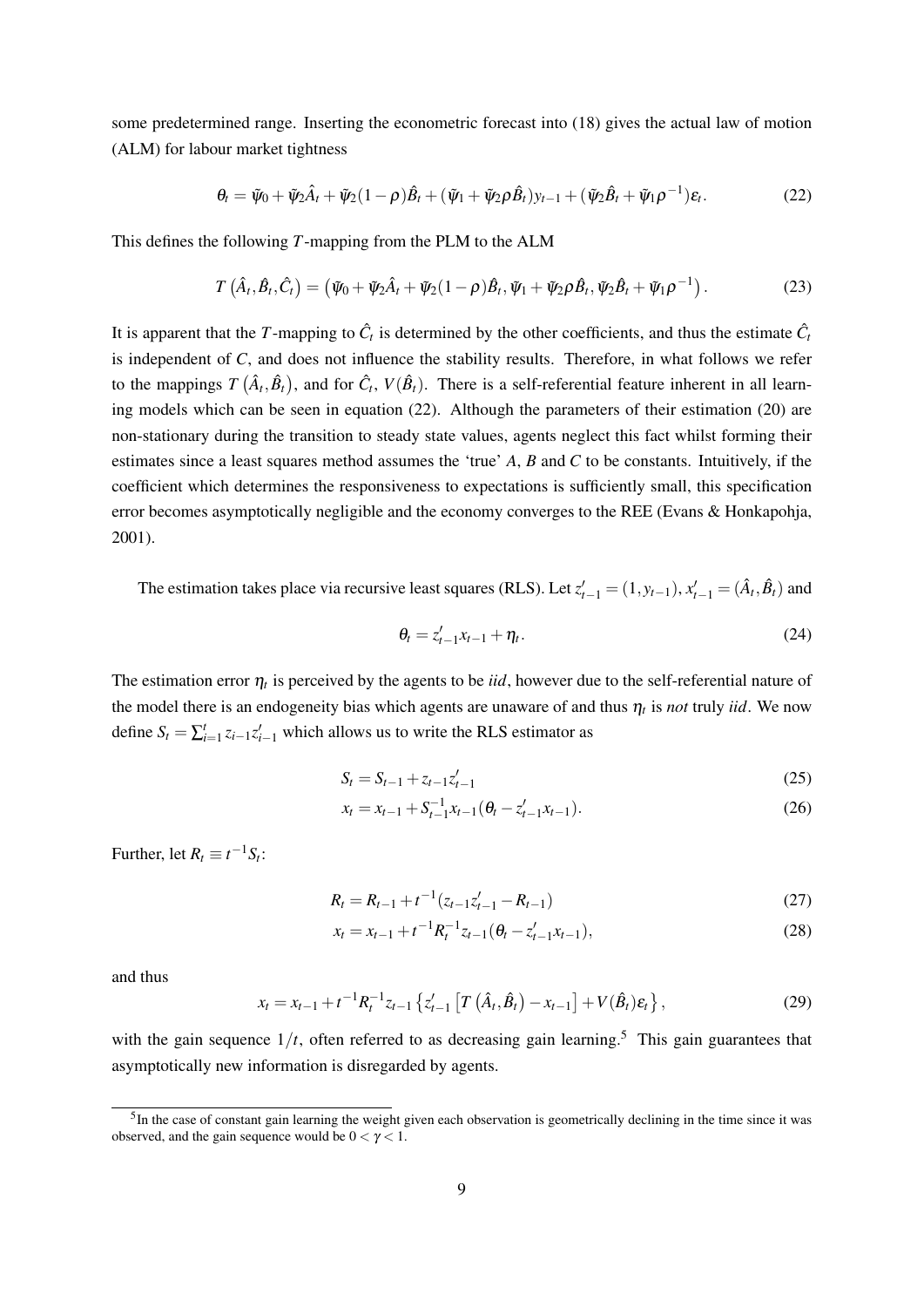some predetermined range. Inserting the econometric forecast into (18) gives the actual law of motion (ALM) for labour market tightness

$$
\theta_t = \tilde{\psi}_0 + \tilde{\psi}_2 \hat{A}_t + \tilde{\psi}_2 (1 - \rho) \hat{B}_t + (\tilde{\psi}_1 + \tilde{\psi}_2 \rho \hat{B}_t) y_{t-1} + (\tilde{\psi}_2 \hat{B}_t + \tilde{\psi}_1 \rho^{-1}) \varepsilon_t.
$$
 (22)

This defines the following *T*-mapping from the PLM to the ALM

$$
T\left(\hat{A}_t, \hat{B}_t, \hat{C}_t\right) = \left(\tilde{\psi}_0 + \tilde{\psi}_2 \hat{A}_t + \tilde{\psi}_2 (1-\rho) \hat{B}_t, \tilde{\psi}_1 + \tilde{\psi}_2 \rho \hat{B}_t, \tilde{\psi}_2 \hat{B}_t + \tilde{\psi}_1 \rho^{-1}\right).
$$
(23)

It is apparent that the *T*-mapping to  $\hat{C}_t$  is determined by the other coefficients, and thus the estimate  $\hat{C}_t$ is independent of *C*, and does not influence the stability results. Therefore, in what follows we refer to the mappings  $T(\hat{A}_t, \hat{B}_t)$ , and for  $\hat{C}_t$ ,  $V(\hat{B}_t)$ . There is a self-referential feature inherent in all learning models which can be seen in equation (22). Although the parameters of their estimation (20) are non-stationary during the transition to steady state values, agents neglect this fact whilst forming their estimates since a least squares method assumes the 'true' *A*, *B* and *C* to be constants. Intuitively, if the coefficient which determines the responsiveness to expectations is sufficiently small, this specification error becomes asymptotically negligible and the economy converges to the REE (Evans & Honkapohja, 2001).

The estimation takes place via recursive least squares (RLS). Let  $z'_{t-1} = (1, y_{t-1}), x'_{t-1} = (\hat{A}_t, \hat{B}_t)$  and

$$
\theta_t = z_{t-1}' x_{t-1} + \eta_t. \tag{24}
$$

The estimation error  $\eta_t$  is perceived by the agents to be *iid*, however due to the self-referential nature of the model there is an endogeneity bias which agents are unaware of and thus  $\eta_t$  is *not* truly *iid*. We now define  $S_t = \sum_{i=1}^t z_{i-1} z'_{i-1}$  which allows us to write the RLS estimator as

$$
S_t = S_{t-1} + z_{t-1} z_{t-1}' \tag{25}
$$

$$
x_t = x_{t-1} + S_{t-1}^{-1} x_{t-1} (\theta_t - z_{t-1}' x_{t-1}).
$$
\n(26)

Further, let  $R_t \equiv t^{-1}S_t$ :

$$
R_t = R_{t-1} + t^{-1} (z_{t-1} z_{t-1}' - R_{t-1})
$$
\n(27)

$$
x_t = x_{t-1} + t^{-1} R_t^{-1} z_{t-1} (\theta_t - z_{t-1}' x_{t-1}),
$$
\n(28)

and thus

$$
x_{t} = x_{t-1} + t^{-1} R_{t}^{-1} z_{t-1} \left\{ z_{t-1}^{\prime} \left[ T \left( \hat{A}_{t}, \hat{B}_{t} \right) - x_{t-1} \right] + V(\hat{B}_{t}) \varepsilon_{t} \right\},\tag{29}
$$

with the gain sequence  $1/t$ , often referred to as decreasing gain learning.<sup>5</sup> This gain guarantees that asymptotically new information is disregarded by agents.

<sup>&</sup>lt;sup>5</sup>In the case of constant gain learning the weight given each observation is geometrically declining in the time since it was observed, and the gain sequence would be  $0 < \gamma < 1$ .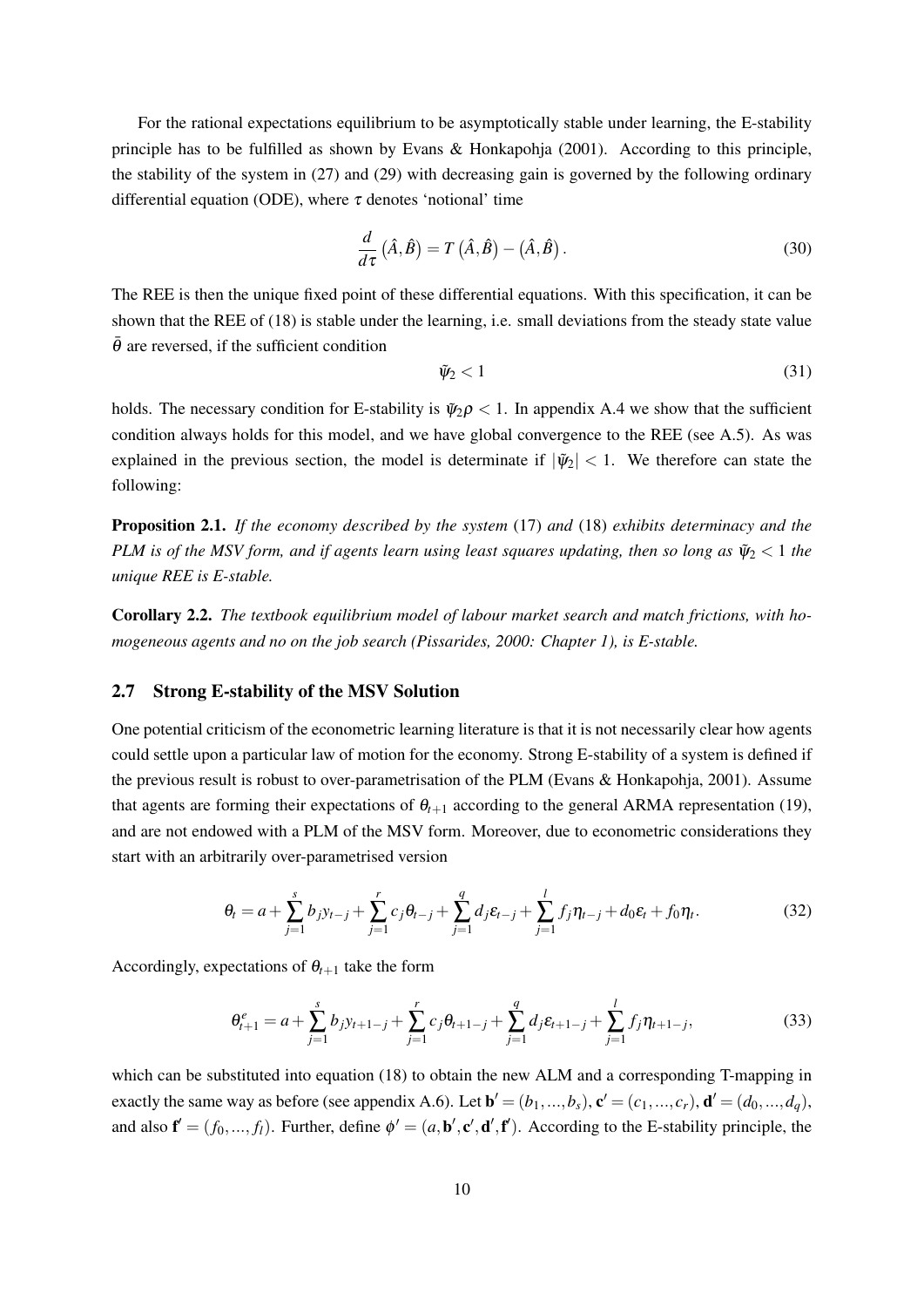For the rational expectations equilibrium to be asymptotically stable under learning, the E-stability principle has to be fulfilled as shown by Evans & Honkapohja (2001). According to this principle, the stability of the system in (27) and (29) with decreasing gain is governed by the following ordinary differential equation (ODE), where  $\tau$  denotes 'notional' time

$$
\frac{d}{d\tau}(\hat{A},\hat{B}) = T(\hat{A},\hat{B}) - (\hat{A},\hat{B}).
$$
\n(30)

The REE is then the unique fixed point of these differential equations. With this specification, it can be shown that the REE of (18) is stable under the learning, i.e. small deviations from the steady state value  $\overline{\theta}$  are reversed, if the sufficient condition

$$
\tilde{\psi}_2 < 1\tag{31}
$$

holds. The necessary condition for E-stability is  $\tilde{\psi}_2 \rho < 1$ . In appendix A.4 we show that the sufficient condition always holds for this model, and we have global convergence to the REE (see A.5). As was explained in the previous section, the model is determinate if  $|\tilde{\psi}_2|$  < 1. We therefore can state the following:

Proposition 2.1. *If the economy described by the system* (17) *and* (18) *exhibits determinacy and the PLM is of the MSV form, and if agents learn using least squares updating, then so long as*  $\tilde{\psi}_2 < 1$  *the unique REE is E-stable.*

Corollary 2.2. *The textbook equilibrium model of labour market search and match frictions, with homogeneous agents and no on the job search (Pissarides, 2000: Chapter 1), is E-stable.*

### 2.7 Strong E-stability of the MSV Solution

One potential criticism of the econometric learning literature is that it is not necessarily clear how agents could settle upon a particular law of motion for the economy. Strong E-stability of a system is defined if the previous result is robust to over-parametrisation of the PLM (Evans & Honkapohja, 2001). Assume that agents are forming their expectations of  $\theta_{t+1}$  according to the general ARMA representation (19), and are not endowed with a PLM of the MSV form. Moreover, due to econometric considerations they start with an arbitrarily over-parametrised version

$$
\theta_t = a + \sum_{j=1}^s b_j y_{t-j} + \sum_{j=1}^r c_j \theta_{t-j} + \sum_{j=1}^q d_j \varepsilon_{t-j} + \sum_{j=1}^l f_j \eta_{t-j} + d_0 \varepsilon_t + f_0 \eta_t.
$$
 (32)

Accordingly, expectations of  $\theta_{t+1}$  take the form

$$
\theta_{t+1}^e = a + \sum_{j=1}^s b_j y_{t+1-j} + \sum_{j=1}^r c_j \theta_{t+1-j} + \sum_{j=1}^q d_j \varepsilon_{t+1-j} + \sum_{j=1}^l f_j \eta_{t+1-j},
$$
\n(33)

which can be substituted into equation (18) to obtain the new ALM and a corresponding T-mapping in exactly the same way as before (see appendix A.6). Let  $\mathbf{b}' = (b_1, ..., b_s)$ ,  $\mathbf{c}' = (c_1, ..., c_r)$ ,  $\mathbf{d}' = (d_0, ..., d_q)$ , and also  $f' = (f_0, ..., f_l)$ . Further, define  $\phi' = (a, b', c', d', f')$ . According to the E-stability principle, the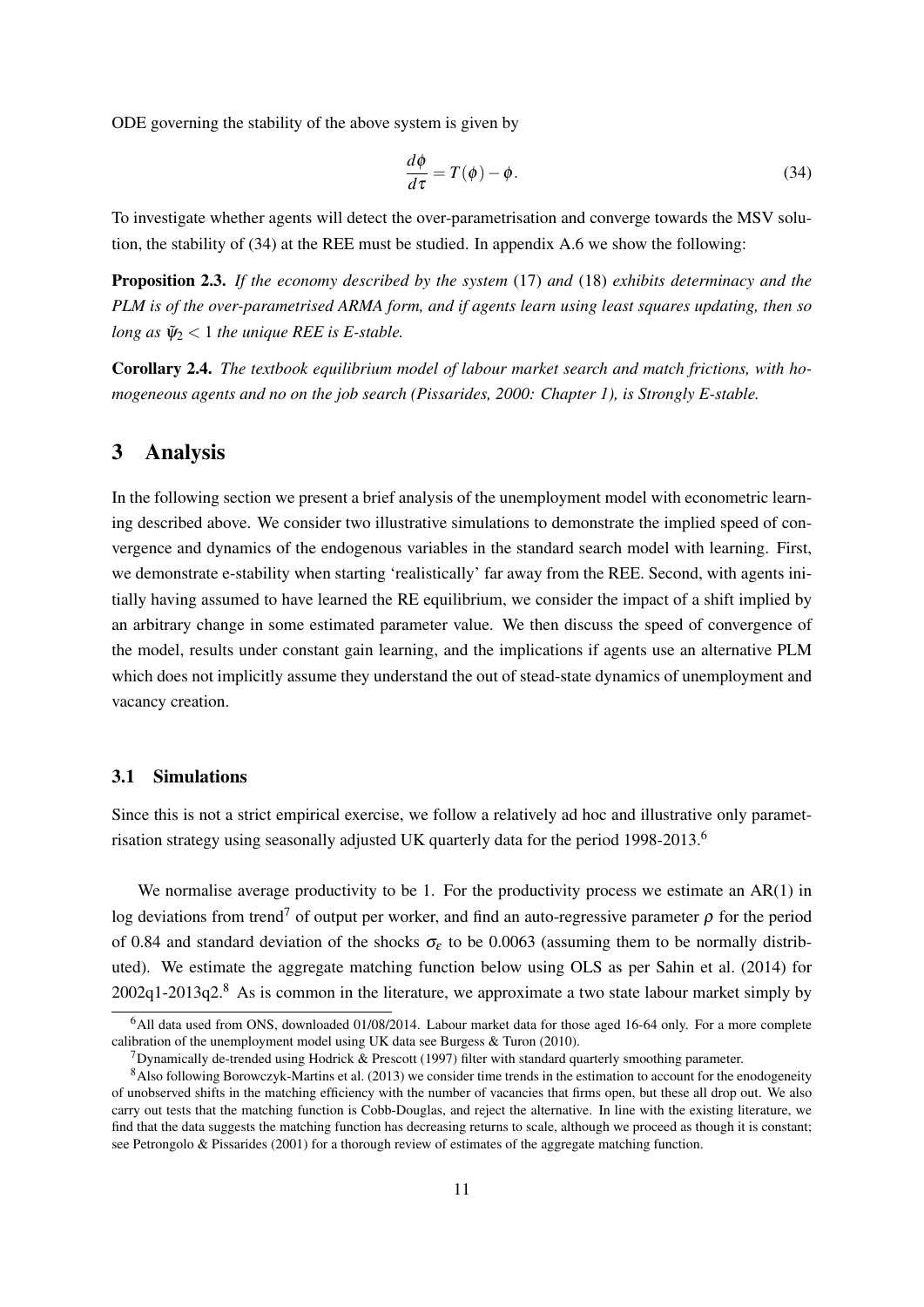ODE governing the stability of the above system is given by

$$
\frac{d\phi}{d\tau} = T(\phi) - \phi.
$$
 (34)

To investigate whether agents will detect the over-parametrisation and converge towards the MSV solution, the stability of (34) at the REE must be studied. In appendix A.6 we show the following:

Proposition 2.3. *If the economy described by the system* (17) *and* (18) *exhibits determinacy and the PLM is of the over-parametrised ARMA form, and if agents learn using least squares updating, then so long as*  $\Psi_2$  < 1 *the unique REE is E-stable.* 

Corollary 2.4. *The textbook equilibrium model of labour market search and match frictions, with homogeneous agents and no on the job search (Pissarides, 2000: Chapter 1), is Strongly E-stable.*

### 3 Analysis

In the following section we present a brief analysis of the unemployment model with econometric learning described above. We consider two illustrative simulations to demonstrate the implied speed of convergence and dynamics of the endogenous variables in the standard search model with learning. First, we demonstrate e-stability when starting 'realistically' far away from the REE. Second, with agents initially having assumed to have learned the RE equilibrium, we consider the impact of a shift implied by an arbitrary change in some estimated parameter value. We then discuss the speed of convergence of the model, results under constant gain learning, and the implications if agents use an alternative PLM which does not implicitly assume they understand the out of stead-state dynamics of unemployment and vacancy creation.

#### 3.1 Simulations

Since this is not a strict empirical exercise, we follow a relatively ad hoc and illustrative only parametrisation strategy using seasonally adjusted UK quarterly data for the period 1998-2013.<sup>6</sup>

We normalise average productivity to be 1. For the productivity process we estimate an AR(1) in log deviations from trend<sup>7</sup> of output per worker, and find an auto-regressive parameter  $\rho$  for the period of 0.84 and standard deviation of the shocks  $\sigma_{\epsilon}$  to be 0.0063 (assuming them to be normally distributed). We estimate the aggregate matching function below using OLS as per Sahin et al. (2014) for  $2002q1-2013q2<sup>8</sup>$  As is common in the literature, we approximate a two state labour market simply by

<sup>6</sup>All data used from ONS, downloaded 01/08/2014. Labour market data for those aged 16-64 only. For a more complete calibration of the unemployment model using UK data see Burgess & Turon (2010).

<sup>&</sup>lt;sup>7</sup>Dynamically de-trended using Hodrick & Prescott (1997) filter with standard quarterly smoothing parameter.

<sup>8</sup>Also following Borowczyk-Martins et al. (2013) we consider time trends in the estimation to account for the enodogeneity of unobserved shifts in the matching efficiency with the number of vacancies that firms open, but these all drop out. We also carry out tests that the matching function is Cobb-Douglas, and reject the alternative. In line with the existing literature, we find that the data suggests the matching function has decreasing returns to scale, although we proceed as though it is constant; see Petrongolo & Pissarides (2001) for a thorough review of estimates of the aggregate matching function.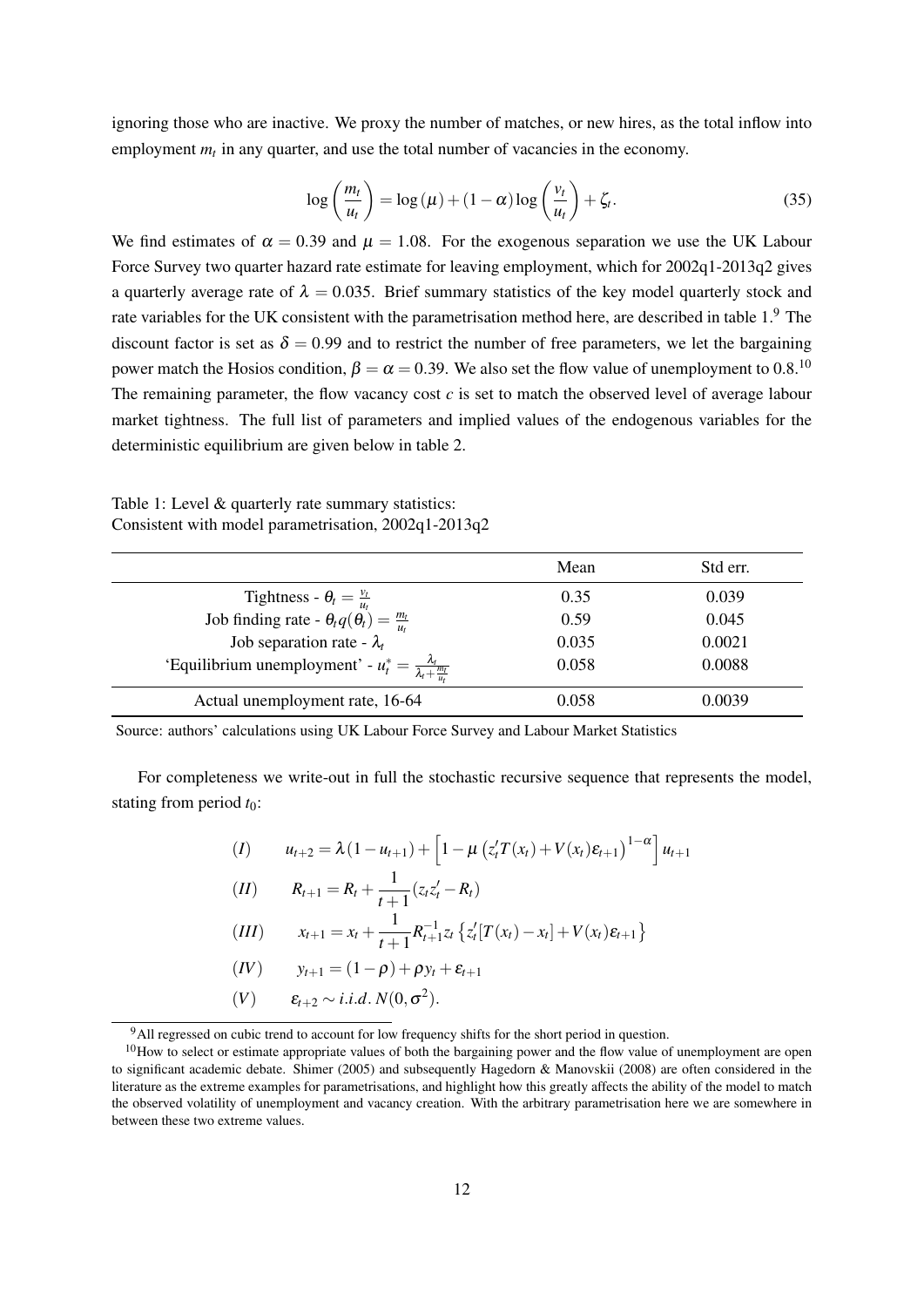ignoring those who are inactive. We proxy the number of matches, or new hires, as the total inflow into employment  $m_t$  in any quarter, and use the total number of vacancies in the economy.

$$
\log\left(\frac{m_t}{u_t}\right) = \log\left(\mu\right) + (1-\alpha)\log\left(\frac{v_t}{u_t}\right) + \zeta_t.
$$
\n(35)

We find estimates of  $\alpha = 0.39$  and  $\mu = 1.08$ . For the exogenous separation we use the UK Labour Force Survey two quarter hazard rate estimate for leaving employment, which for 2002q1-2013q2 gives a quarterly average rate of  $\lambda = 0.035$ . Brief summary statistics of the key model quarterly stock and rate variables for the UK consistent with the parametrisation method here, are described in table 1.<sup>9</sup> The discount factor is set as  $\delta = 0.99$  and to restrict the number of free parameters, we let the bargaining power match the Hosios condition,  $\beta = \alpha = 0.39$ . We also set the flow value of unemployment to 0.8.<sup>10</sup> The remaining parameter, the flow vacancy cost *c* is set to match the observed level of average labour market tightness. The full list of parameters and implied values of the endogenous variables for the deterministic equilibrium are given below in table 2.

Table 1: Level & quarterly rate summary statistics: Consistent with model parametrisation, 2002q1-2013q2

|                                                                                                         | Mean  | Std err. |
|---------------------------------------------------------------------------------------------------------|-------|----------|
|                                                                                                         | 0.35  | 0.039    |
| Tightness - $\theta_t = \frac{v_t}{u_t}$<br>Job finding rate - $\theta_t q(\theta_t) = \frac{m_t}{u_t}$ | 0.59  | 0.045    |
| Job separation rate - $\lambda_t$                                                                       | 0.035 | 0.0021   |
| 'Equilibrium unemployment' - $u_t^* = \frac{\lambda_t}{\lambda_t + \frac{m_t}{\lambda_t}}$              | 0.058 | 0.0088   |
| Actual unemployment rate, 16-64                                                                         | 0.058 | 0.0039   |

Source: authors' calculations using UK Labour Force Survey and Labour Market Statistics

For completeness we write-out in full the stochastic recursive sequence that represents the model, stating from period *t*0:

$$
(I) \t u_{t+2} = \lambda (1 - u_{t+1}) + \left[ 1 - \mu (z_t^{\prime} T(x_t) + V(x_t) \varepsilon_{t+1})^{1-\alpha} \right] u_{t+1}
$$
  
\n
$$
(II) \t R_{t+1} = R_t + \frac{1}{t+1} (z_t z_t^{\prime} - R_t)
$$
  
\n
$$
(III) \t x_{t+1} = x_t + \frac{1}{t+1} R_{t+1}^{-1} z_t \{ z_t^{\prime} [T(x_t) - x_t] + V(x_t) \varepsilon_{t+1} \}
$$
  
\n
$$
(IV) \t y_{t+1} = (1 - \rho) + \rho y_t + \varepsilon_{t+1}
$$
  
\n
$$
(V) \t \varepsilon_{t+2} \sim i.i.d. N(0, \sigma^2).
$$

<sup>9</sup>All regressed on cubic trend to account for low frequency shifts for the short period in question.

 $10$ How to select or estimate appropriate values of both the bargaining power and the flow value of unemployment are open to significant academic debate. Shimer (2005) and subsequently Hagedorn & Manovskii (2008) are often considered in the literature as the extreme examples for parametrisations, and highlight how this greatly affects the ability of the model to match the observed volatility of unemployment and vacancy creation. With the arbitrary parametrisation here we are somewhere in between these two extreme values.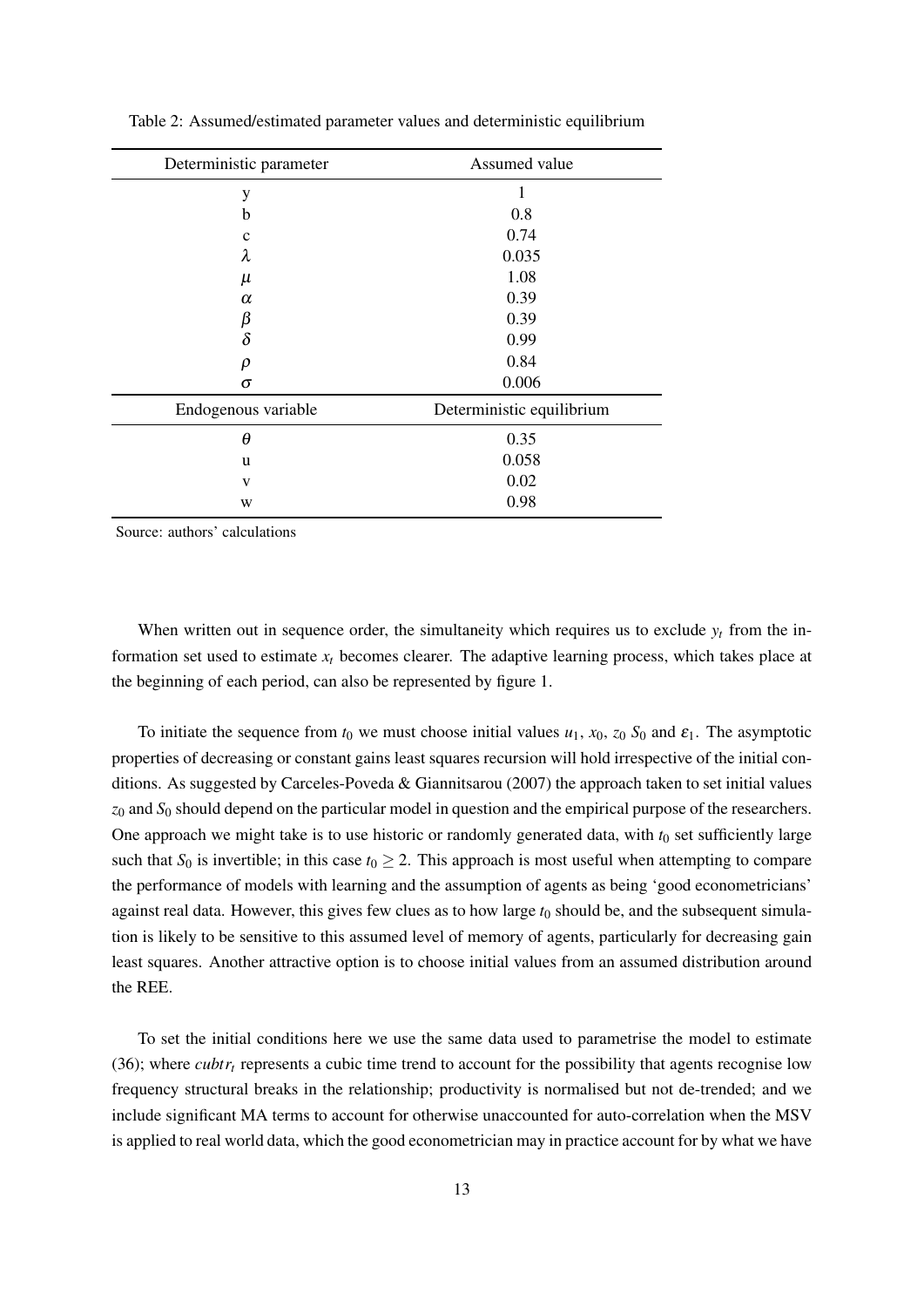| Deterministic parameter | Assumed value             |  |  |  |
|-------------------------|---------------------------|--|--|--|
| y                       |                           |  |  |  |
| b                       | 0.8                       |  |  |  |
| $\mathbf c$             | 0.74                      |  |  |  |
| λ                       | 0.035                     |  |  |  |
| $\mu$                   | 1.08                      |  |  |  |
| $\alpha$                | 0.39                      |  |  |  |
| $\frac{\beta}{\delta}$  | 0.39                      |  |  |  |
|                         | 0.99                      |  |  |  |
| $\rho$                  | 0.84                      |  |  |  |
| $\sigma$                | 0.006                     |  |  |  |
| Endogenous variable     | Deterministic equilibrium |  |  |  |
| $\theta$                | 0.35                      |  |  |  |
| u                       | 0.058                     |  |  |  |
| V                       | 0.02                      |  |  |  |
| W                       | 0.98                      |  |  |  |

Table 2: Assumed/estimated parameter values and deterministic equilibrium

Source: authors' calculations

When written out in sequence order, the simultaneity which requires us to exclude  $y_t$  from the information set used to estimate  $x_t$  becomes clearer. The adaptive learning process, which takes place at the beginning of each period, can also be represented by figure 1.

To initiate the sequence from  $t_0$  we must choose initial values  $u_1$ ,  $x_0$ ,  $z_0$   $S_0$  and  $\varepsilon_1$ . The asymptotic properties of decreasing or constant gains least squares recursion will hold irrespective of the initial conditions. As suggested by Carceles-Poveda & Giannitsarou (2007) the approach taken to set initial values *z*<sup>0</sup> and *S*<sup>0</sup> should depend on the particular model in question and the empirical purpose of the researchers. One approach we might take is to use historic or randomly generated data, with  $t_0$  set sufficiently large such that  $S_0$  is invertible; in this case  $t_0 \geq 2$ . This approach is most useful when attempting to compare the performance of models with learning and the assumption of agents as being 'good econometricians' against real data. However, this gives few clues as to how large  $t_0$  should be, and the subsequent simulation is likely to be sensitive to this assumed level of memory of agents, particularly for decreasing gain least squares. Another attractive option is to choose initial values from an assumed distribution around the REE.

To set the initial conditions here we use the same data used to parametrise the model to estimate (36); where *cubtr<sub>t</sub>* represents a cubic time trend to account for the possibility that agents recognise low frequency structural breaks in the relationship; productivity is normalised but not de-trended; and we include significant MA terms to account for otherwise unaccounted for auto-correlation when the MSV is applied to real world data, which the good econometrician may in practice account for by what we have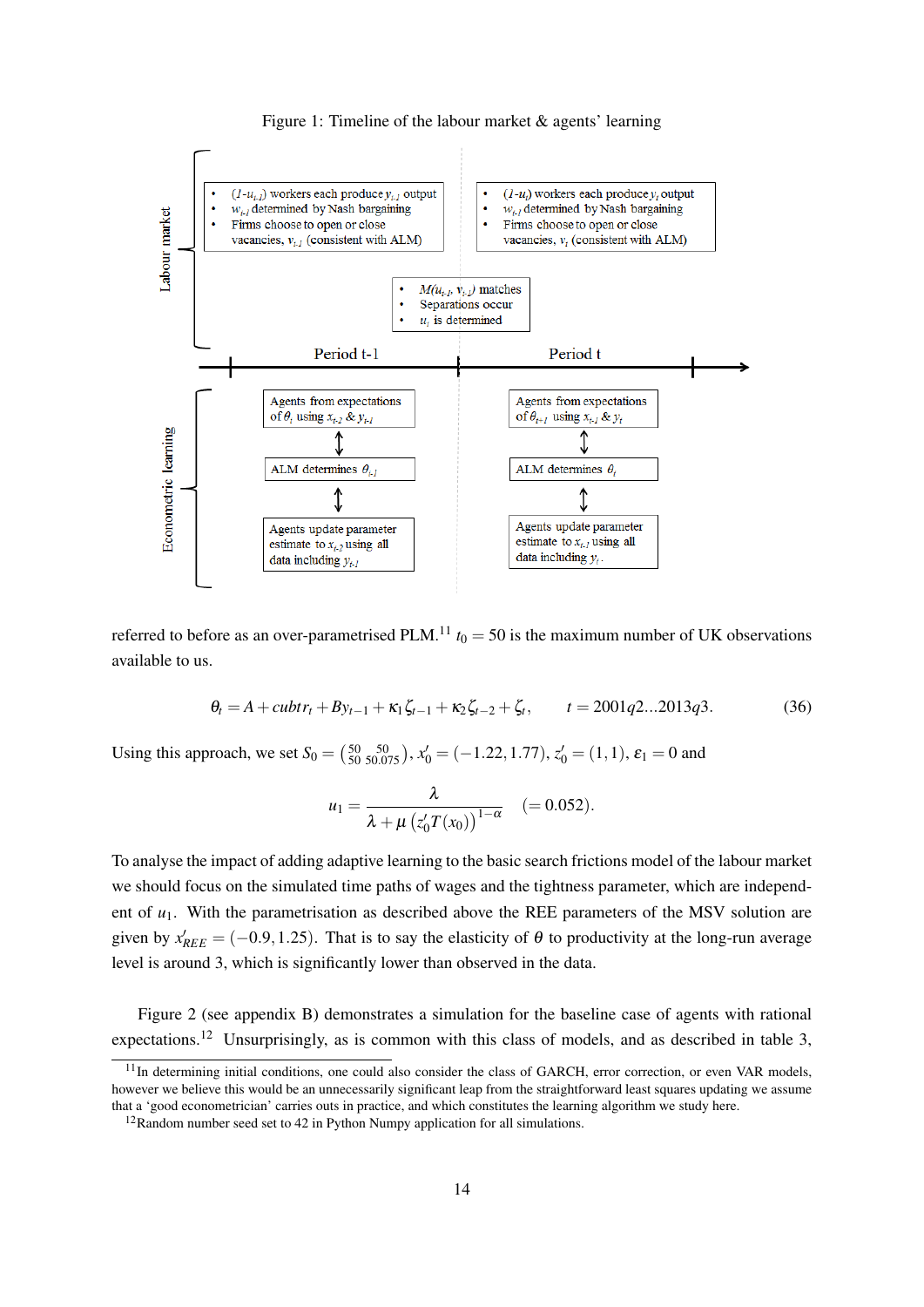#### Figure 1: Timeline of the labour market & agents' learning



referred to before as an over-parametrised PLM.<sup>11</sup>  $t_0 = 50$  is the maximum number of UK observations available to us.

$$
\theta_t = A + \frac{cubtr_t + By_{t-1} + \kappa_1 \zeta_{t-1} + \kappa_2 \zeta_{t-2} + \zeta_t}{t} = 2001q^2 \dots 2013q^3. \tag{36}
$$

Using this approach, we set  $S_0 = \begin{pmatrix} 50 & 50 \\ 50 & 50.075 \end{pmatrix}$ ,  $x'_0 = (-1.22, 1.77)$ ,  $z'_0 = (1, 1)$ ,  $\varepsilon_1 = 0$  and

$$
u_1 = \frac{\lambda}{\lambda + \mu \left( z_0' T(x_0) \right)^{1-\alpha}} \quad (= 0.052).
$$

To analyse the impact of adding adaptive learning to the basic search frictions model of the labour market we should focus on the simulated time paths of wages and the tightness parameter, which are independent of *u*1. With the parametrisation as described above the REE parameters of the MSV solution are given by  $x'_{REE} = (-0.9, 1.25)$ . That is to say the elasticity of  $\theta$  to productivity at the long-run average level is around 3, which is significantly lower than observed in the data.

Figure 2 (see appendix B) demonstrates a simulation for the baseline case of agents with rational expectations.<sup>12</sup> Unsurprisingly, as is common with this class of models, and as described in table 3,

 $11$ In determining initial conditions, one could also consider the class of GARCH, error correction, or even VAR models, however we believe this would be an unnecessarily significant leap from the straightforward least squares updating we assume that a 'good econometrician' carries outs in practice, and which constitutes the learning algorithm we study here.

<sup>&</sup>lt;sup>12</sup>Random number seed set to 42 in Python Numpy application for all simulations.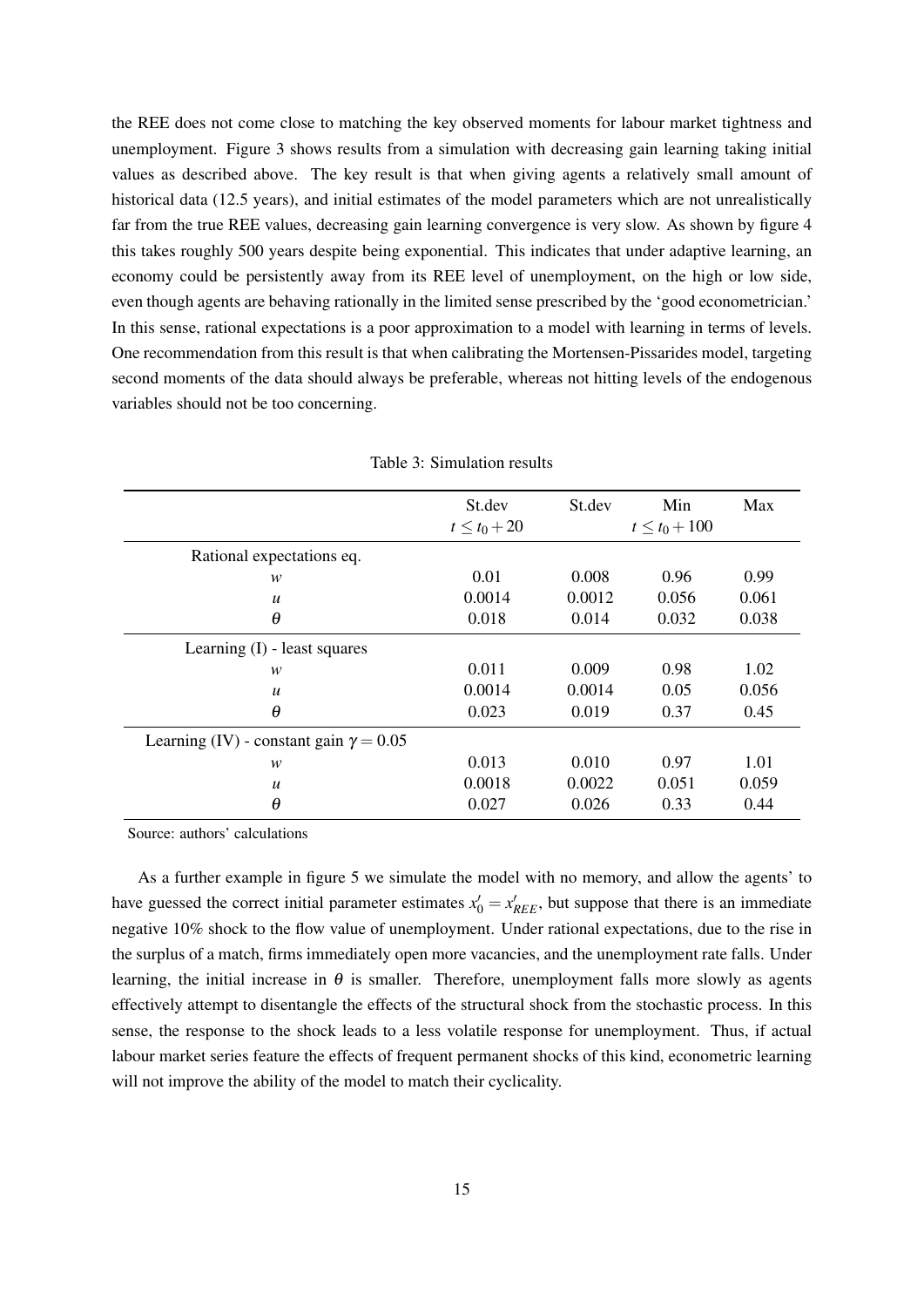the REE does not come close to matching the key observed moments for labour market tightness and unemployment. Figure 3 shows results from a simulation with decreasing gain learning taking initial values as described above. The key result is that when giving agents a relatively small amount of historical data (12.5 years), and initial estimates of the model parameters which are not unrealistically far from the true REE values, decreasing gain learning convergence is very slow. As shown by figure 4 this takes roughly 500 years despite being exponential. This indicates that under adaptive learning, an economy could be persistently away from its REE level of unemployment, on the high or low side, even though agents are behaving rationally in the limited sense prescribed by the 'good econometrician.' In this sense, rational expectations is a poor approximation to a model with learning in terms of levels. One recommendation from this result is that when calibrating the Mortensen-Pissarides model, targeting second moments of the data should always be preferable, whereas not hitting levels of the endogenous variables should not be too concerning.

|                                               | St.dev           | St.dev | Min               | Max   |
|-----------------------------------------------|------------------|--------|-------------------|-------|
|                                               | $t \le t_0 + 20$ |        | $t \le t_0 + 100$ |       |
| Rational expectations eq.                     |                  |        |                   |       |
| w                                             | 0.01             | 0.008  | 0.96              | 0.99  |
| $\boldsymbol{u}$                              | 0.0014           | 0.0012 | 0.056             | 0.061 |
| $\theta$                                      | 0.018            | 0.014  | 0.032             | 0.038 |
| Learning $(I)$ - least squares                |                  |        |                   |       |
| w                                             | 0.011            | 0.009  | 0.98              | 1.02  |
| $\boldsymbol{u}$                              | 0.0014           | 0.0014 | 0.05              | 0.056 |
| $\theta$                                      | 0.023            | 0.019  | 0.37              | 0.45  |
| Learning (IV) - constant gain $\gamma = 0.05$ |                  |        |                   |       |
| w                                             | 0.013            | 0.010  | 0.97              | 1.01  |
| $\boldsymbol{u}$                              | 0.0018           | 0.0022 | 0.051             | 0.059 |
| $\theta$                                      | 0.027            | 0.026  | 0.33              | 0.44  |

Table 3: Simulation results

Source: authors' calculations

As a further example in figure 5 we simulate the model with no memory, and allow the agents' to have guessed the correct initial parameter estimates  $x'_0 = x'_{REE}$ , but suppose that there is an immediate negative 10% shock to the flow value of unemployment. Under rational expectations, due to the rise in the surplus of a match, firms immediately open more vacancies, and the unemployment rate falls. Under learning, the initial increase in  $\theta$  is smaller. Therefore, unemployment falls more slowly as agents effectively attempt to disentangle the effects of the structural shock from the stochastic process. In this sense, the response to the shock leads to a less volatile response for unemployment. Thus, if actual labour market series feature the effects of frequent permanent shocks of this kind, econometric learning will not improve the ability of the model to match their cyclicality.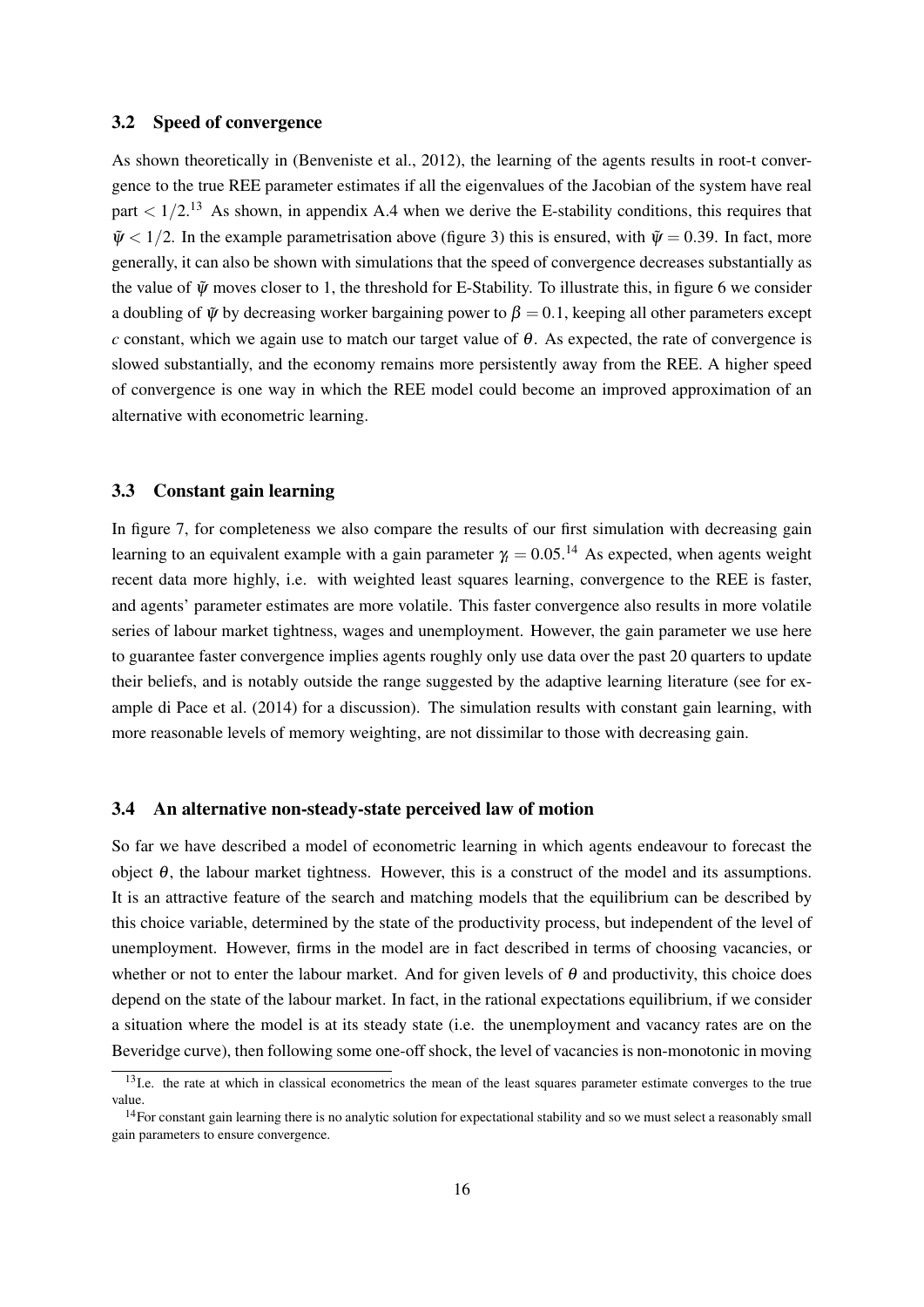#### 3.2 Speed of convergence

As shown theoretically in (Benveniste et al., 2012), the learning of the agents results in root-t convergence to the true REE parameter estimates if all the eigenvalues of the Jacobian of the system have real part  $\langle 1/2,1^3 \rangle$  As shown, in appendix A.4 when we derive the E-stability conditions, this requires that  $\tilde{\psi}$  < 1/2. In the example parametrisation above (figure 3) this is ensured, with  $\tilde{\psi}$  = 0.39. In fact, more generally, it can also be shown with simulations that the speed of convergence decreases substantially as the value of  $\tilde{\psi}$  moves closer to 1, the threshold for E-Stability. To illustrate this, in figure 6 we consider a doubling of  $\tilde{\psi}$  by decreasing worker bargaining power to  $\beta = 0.1$ , keeping all other parameters except *c* constant, which we again use to match our target value of  $\theta$ . As expected, the rate of convergence is slowed substantially, and the economy remains more persistently away from the REE. A higher speed of convergence is one way in which the REE model could become an improved approximation of an alternative with econometric learning.

#### 3.3 Constant gain learning

In figure 7, for completeness we also compare the results of our first simulation with decreasing gain learning to an equivalent example with a gain parameter  $\gamma_t = 0.05$ .<sup>14</sup> As expected, when agents weight recent data more highly, i.e. with weighted least squares learning, convergence to the REE is faster, and agents' parameter estimates are more volatile. This faster convergence also results in more volatile series of labour market tightness, wages and unemployment. However, the gain parameter we use here to guarantee faster convergence implies agents roughly only use data over the past 20 quarters to update their beliefs, and is notably outside the range suggested by the adaptive learning literature (see for example di Pace et al. (2014) for a discussion). The simulation results with constant gain learning, with more reasonable levels of memory weighting, are not dissimilar to those with decreasing gain.

#### 3.4 An alternative non-steady-state perceived law of motion

So far we have described a model of econometric learning in which agents endeavour to forecast the object  $θ$ , the labour market tightness. However, this is a construct of the model and its assumptions. It is an attractive feature of the search and matching models that the equilibrium can be described by this choice variable, determined by the state of the productivity process, but independent of the level of unemployment. However, firms in the model are in fact described in terms of choosing vacancies, or whether or not to enter the labour market. And for given levels of  $\theta$  and productivity, this choice does depend on the state of the labour market. In fact, in the rational expectations equilibrium, if we consider a situation where the model is at its steady state (i.e. the unemployment and vacancy rates are on the Beveridge curve), then following some one-off shock, the level of vacancies is non-monotonic in moving

<sup>&</sup>lt;sup>13</sup>I.e. the rate at which in classical econometrics the mean of the least squares parameter estimate converges to the true value.

 $14$ For constant gain learning there is no analytic solution for expectational stability and so we must select a reasonably small gain parameters to ensure convergence.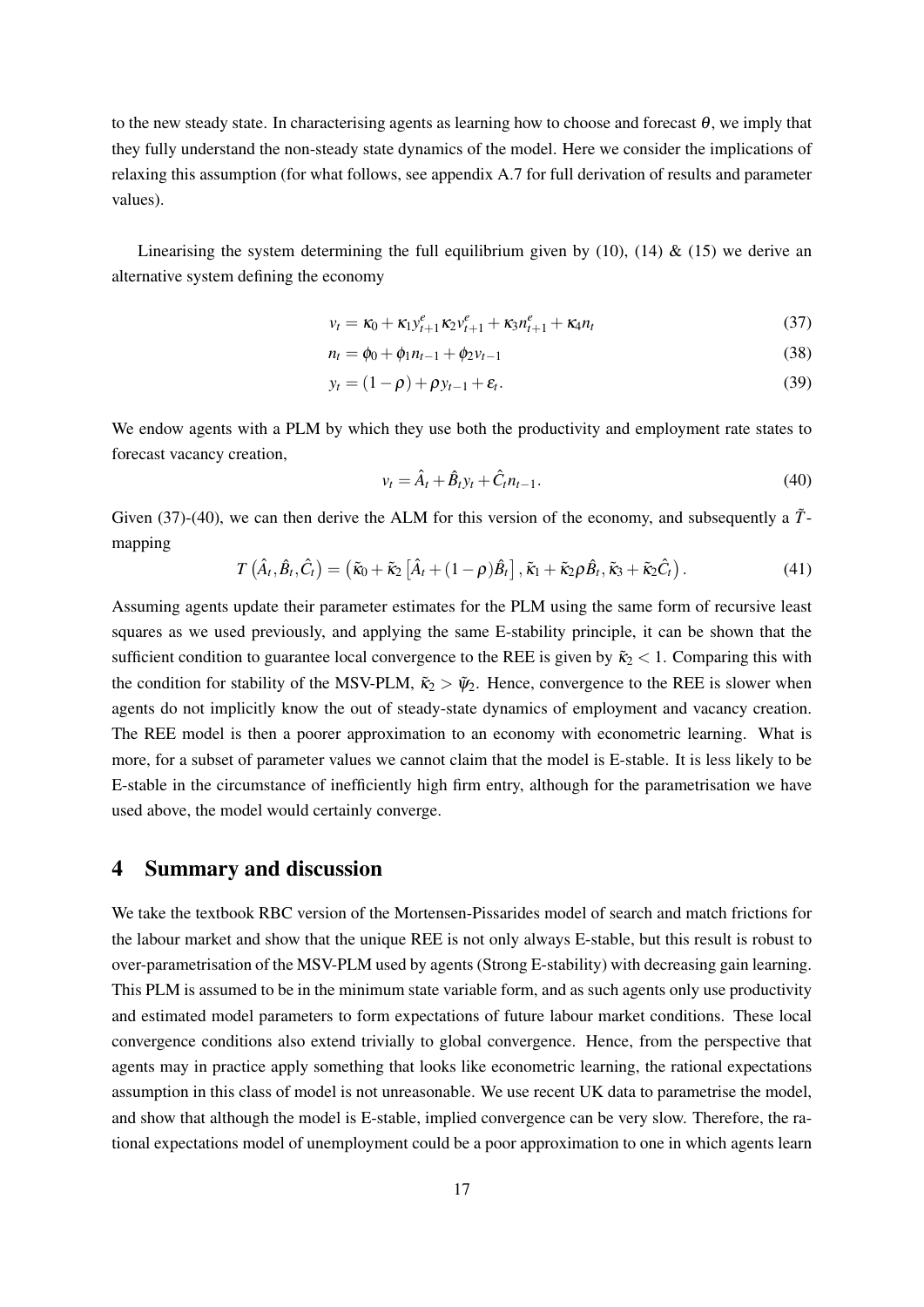to the new steady state. In characterising agents as learning how to choose and forecast  $\theta$ , we imply that they fully understand the non-steady state dynamics of the model. Here we consider the implications of relaxing this assumption (for what follows, see appendix A.7 for full derivation of results and parameter values).

Linearising the system determining the full equilibrium given by (10), (14) & (15) we derive an alternative system defining the economy

$$
v_t = \kappa_0 + \kappa_1 y_{t+1}^e \kappa_2 v_{t+1}^e + \kappa_3 n_{t+1}^e + \kappa_4 n_t \tag{37}
$$

$$
n_t = \phi_0 + \phi_1 n_{t-1} + \phi_2 v_{t-1} \tag{38}
$$

$$
y_t = (1 - \rho) + \rho y_{t-1} + \varepsilon_t. \tag{39}
$$

We endow agents with a PLM by which they use both the productivity and employment rate states to forecast vacancy creation,

$$
v_t = \hat{A}_t + \hat{B}_t y_t + \hat{C}_t n_{t-1}.
$$
\n(40)

Given (37)-(40), we can then derive the ALM for this version of the economy, and subsequently a  $\tilde{T}$ mapping

$$
T\left(\hat{A}_t, \hat{B}_t, \hat{C}_t\right) = \left(\tilde{\kappa}_0 + \tilde{\kappa}_2 \left[\hat{A}_t + (1-\rho)\hat{B}_t\right], \tilde{\kappa}_1 + \tilde{\kappa}_2 \rho \hat{B}_t, \tilde{\kappa}_3 + \tilde{\kappa}_2 \hat{C}_t\right).
$$
\n(41)

Assuming agents update their parameter estimates for the PLM using the same form of recursive least squares as we used previously, and applying the same E-stability principle, it can be shown that the sufficient condition to guarantee local convergence to the REE is given by  $\tilde{\kappa}_2 < 1$ . Comparing this with the condition for stability of the MSV-PLM,  $\tilde{\kappa}_2 > \tilde{\psi}_2$ . Hence, convergence to the REE is slower when agents do not implicitly know the out of steady-state dynamics of employment and vacancy creation. The REE model is then a poorer approximation to an economy with econometric learning. What is more, for a subset of parameter values we cannot claim that the model is E-stable. It is less likely to be E-stable in the circumstance of inefficiently high firm entry, although for the parametrisation we have used above, the model would certainly converge.

### 4 Summary and discussion

We take the textbook RBC version of the Mortensen-Pissarides model of search and match frictions for the labour market and show that the unique REE is not only always E-stable, but this result is robust to over-parametrisation of the MSV-PLM used by agents (Strong E-stability) with decreasing gain learning. This PLM is assumed to be in the minimum state variable form, and as such agents only use productivity and estimated model parameters to form expectations of future labour market conditions. These local convergence conditions also extend trivially to global convergence. Hence, from the perspective that agents may in practice apply something that looks like econometric learning, the rational expectations assumption in this class of model is not unreasonable. We use recent UK data to parametrise the model, and show that although the model is E-stable, implied convergence can be very slow. Therefore, the rational expectations model of unemployment could be a poor approximation to one in which agents learn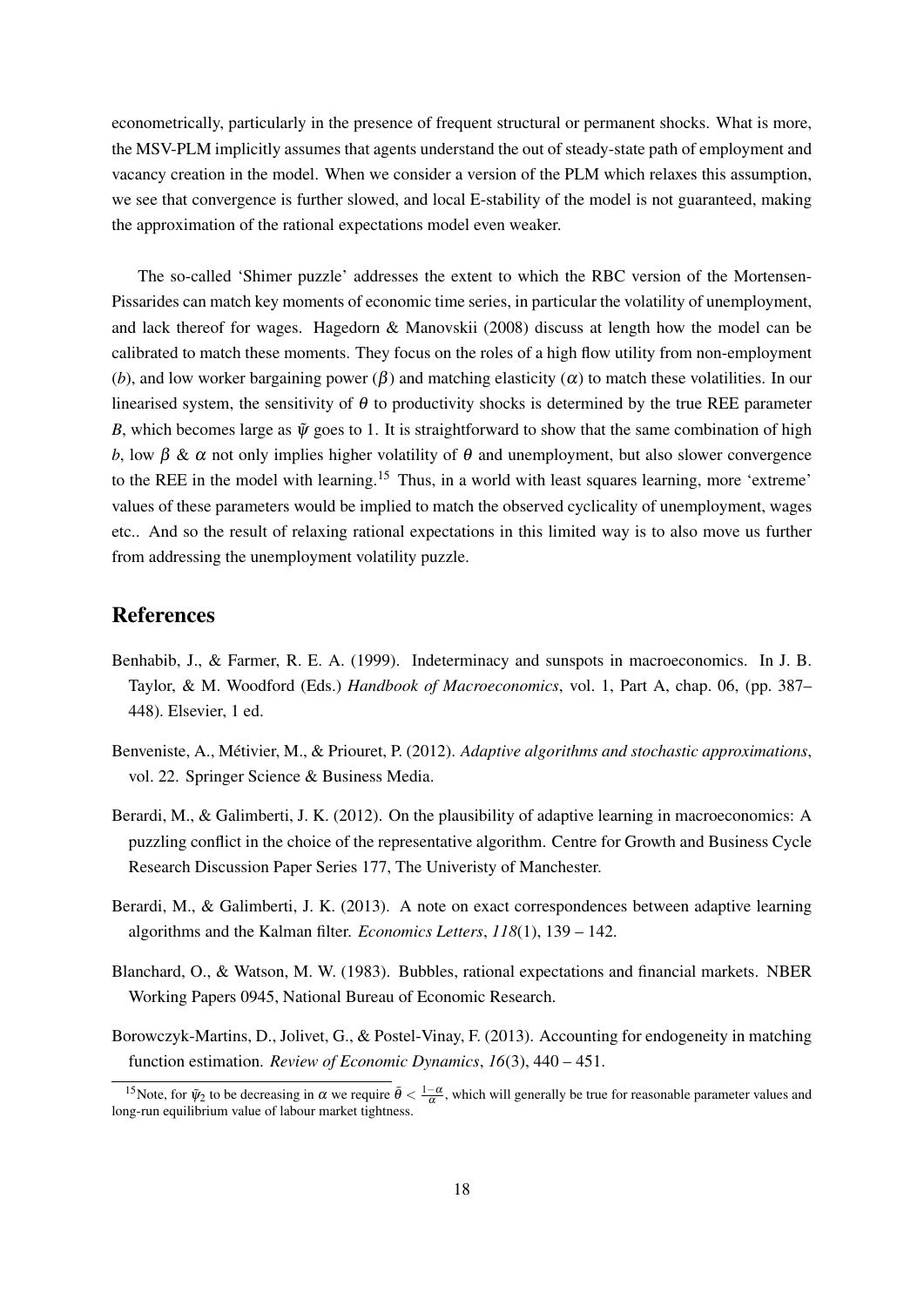econometrically, particularly in the presence of frequent structural or permanent shocks. What is more, the MSV-PLM implicitly assumes that agents understand the out of steady-state path of employment and vacancy creation in the model. When we consider a version of the PLM which relaxes this assumption, we see that convergence is further slowed, and local E-stability of the model is not guaranteed, making the approximation of the rational expectations model even weaker.

The so-called 'Shimer puzzle' addresses the extent to which the RBC version of the Mortensen-Pissarides can match key moments of economic time series, in particular the volatility of unemployment, and lack thereof for wages. Hagedorn & Manovskii (2008) discuss at length how the model can be calibrated to match these moments. They focus on the roles of a high flow utility from non-employment (*b*), and low worker bargaining power ( $\beta$ ) and matching elasticity ( $\alpha$ ) to match these volatilities. In our linearised system, the sensitivity of  $\theta$  to productivity shocks is determined by the true REE parameter *B*, which becomes large as  $\tilde{\psi}$  goes to 1. It is straightforward to show that the same combination of high *b*, low  $\beta$  &  $\alpha$  not only implies higher volatility of  $\theta$  and unemployment, but also slower convergence to the REE in the model with learning.<sup>15</sup> Thus, in a world with least squares learning, more 'extreme' values of these parameters would be implied to match the observed cyclicality of unemployment, wages etc.. And so the result of relaxing rational expectations in this limited way is to also move us further from addressing the unemployment volatility puzzle.

# References

- Benhabib, J., & Farmer, R. E. A. (1999). Indeterminacy and sunspots in macroeconomics. In J. B. Taylor, & M. Woodford (Eds.) *Handbook of Macroeconomics*, vol. 1, Part A, chap. 06, (pp. 387– 448). Elsevier, 1 ed.
- Benveniste, A., Métivier, M., & Priouret, P. (2012). *Adaptive algorithms and stochastic approximations*, vol. 22. Springer Science & Business Media.
- Berardi, M., & Galimberti, J. K. (2012). On the plausibility of adaptive learning in macroeconomics: A puzzling conflict in the choice of the representative algorithm. Centre for Growth and Business Cycle Research Discussion Paper Series 177, The Univeristy of Manchester.
- Berardi, M., & Galimberti, J. K. (2013). A note on exact correspondences between adaptive learning algorithms and the Kalman filter. *Economics Letters*, *118*(1), 139 – 142.
- Blanchard, O., & Watson, M. W. (1983). Bubbles, rational expectations and financial markets. NBER Working Papers 0945, National Bureau of Economic Research.
- Borowczyk-Martins, D., Jolivet, G., & Postel-Vinay, F. (2013). Accounting for endogeneity in matching function estimation. *Review of Economic Dynamics*, *16*(3), 440 – 451.

<sup>&</sup>lt;sup>15</sup>Note, for  $\tilde{\psi}_2$  to be decreasing in  $\alpha$  we require  $\bar{\theta} < \frac{1-\alpha}{\alpha}$ , which will generally be true for reasonable parameter values and long-run equilibrium value of labour market tightness.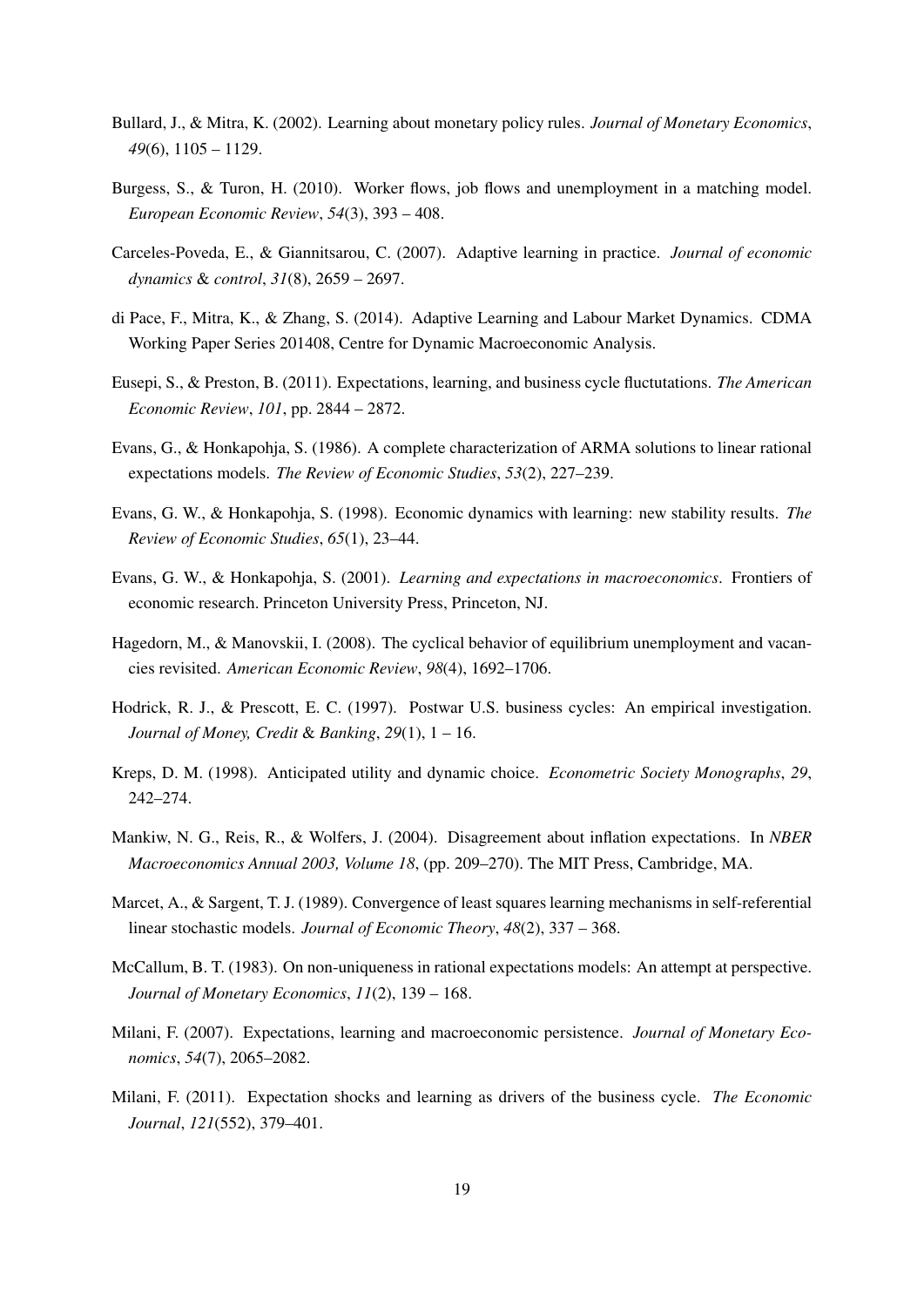- Bullard, J., & Mitra, K. (2002). Learning about monetary policy rules. *Journal of Monetary Economics*, *49*(6), 1105 – 1129.
- Burgess, S., & Turon, H. (2010). Worker flows, job flows and unemployment in a matching model. *European Economic Review*, *54*(3), 393 – 408.
- Carceles-Poveda, E., & Giannitsarou, C. (2007). Adaptive learning in practice. *Journal of economic dynamics* & *control*, *31*(8), 2659 – 2697.
- di Pace, F., Mitra, K., & Zhang, S. (2014). Adaptive Learning and Labour Market Dynamics. CDMA Working Paper Series 201408, Centre for Dynamic Macroeconomic Analysis.
- Eusepi, S., & Preston, B. (2011). Expectations, learning, and business cycle fluctutations. *The American Economic Review*, *101*, pp. 2844 – 2872.
- Evans, G., & Honkapohja, S. (1986). A complete characterization of ARMA solutions to linear rational expectations models. *The Review of Economic Studies*, *53*(2), 227–239.
- Evans, G. W., & Honkapohja, S. (1998). Economic dynamics with learning: new stability results. *The Review of Economic Studies*, *65*(1), 23–44.
- Evans, G. W., & Honkapohja, S. (2001). *Learning and expectations in macroeconomics*. Frontiers of economic research. Princeton University Press, Princeton, NJ.
- Hagedorn, M., & Manovskii, I. (2008). The cyclical behavior of equilibrium unemployment and vacancies revisited. *American Economic Review*, *98*(4), 1692–1706.
- Hodrick, R. J., & Prescott, E. C. (1997). Postwar U.S. business cycles: An empirical investigation. *Journal of Money, Credit* & *Banking*, *29*(1), 1 – 16.
- Kreps, D. M. (1998). Anticipated utility and dynamic choice. *Econometric Society Monographs*, *29*, 242–274.
- Mankiw, N. G., Reis, R., & Wolfers, J. (2004). Disagreement about inflation expectations. In *NBER Macroeconomics Annual 2003, Volume 18*, (pp. 209–270). The MIT Press, Cambridge, MA.
- Marcet, A., & Sargent, T. J. (1989). Convergence of least squares learning mechanisms in self-referential linear stochastic models. *Journal of Economic Theory*, *48*(2), 337 – 368.
- McCallum, B. T. (1983). On non-uniqueness in rational expectations models: An attempt at perspective. *Journal of Monetary Economics*, *11*(2), 139 – 168.
- Milani, F. (2007). Expectations, learning and macroeconomic persistence. *Journal of Monetary Economics*, *54*(7), 2065–2082.
- Milani, F. (2011). Expectation shocks and learning as drivers of the business cycle. *The Economic Journal*, *121*(552), 379–401.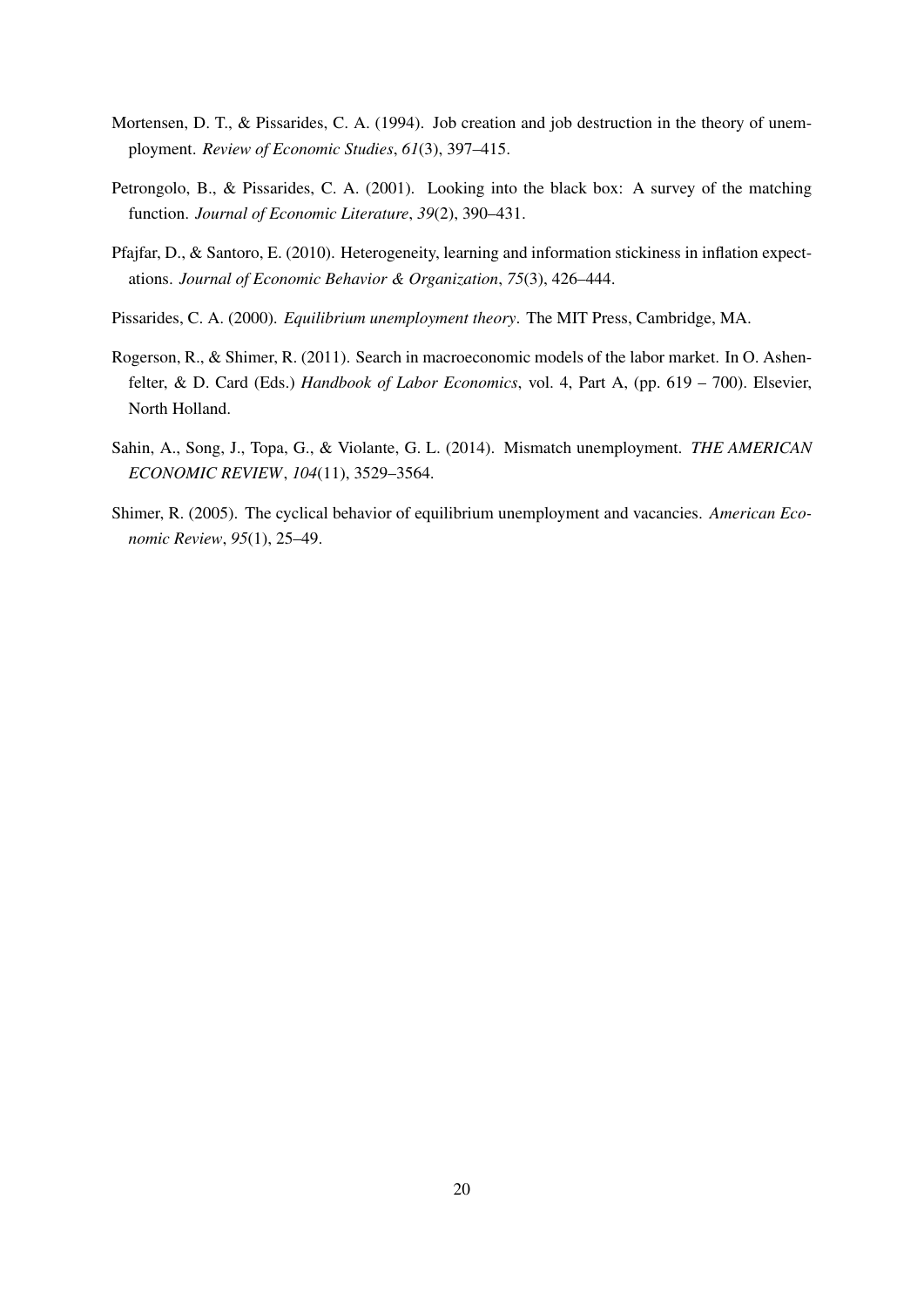- Mortensen, D. T., & Pissarides, C. A. (1994). Job creation and job destruction in the theory of unemployment. *Review of Economic Studies*, *61*(3), 397–415.
- Petrongolo, B., & Pissarides, C. A. (2001). Looking into the black box: A survey of the matching function. *Journal of Economic Literature*, *39*(2), 390–431.
- Pfajfar, D., & Santoro, E. (2010). Heterogeneity, learning and information stickiness in inflation expectations. *Journal of Economic Behavior & Organization*, *75*(3), 426–444.
- Pissarides, C. A. (2000). *Equilibrium unemployment theory*. The MIT Press, Cambridge, MA.
- Rogerson, R., & Shimer, R. (2011). Search in macroeconomic models of the labor market. In O. Ashenfelter, & D. Card (Eds.) *Handbook of Labor Economics*, vol. 4, Part A, (pp. 619 – 700). Elsevier, North Holland.
- Sahin, A., Song, J., Topa, G., & Violante, G. L. (2014). Mismatch unemployment. *THE AMERICAN ECONOMIC REVIEW*, *104*(11), 3529–3564.
- Shimer, R. (2005). The cyclical behavior of equilibrium unemployment and vacancies. *American Economic Review*, *95*(1), 25–49.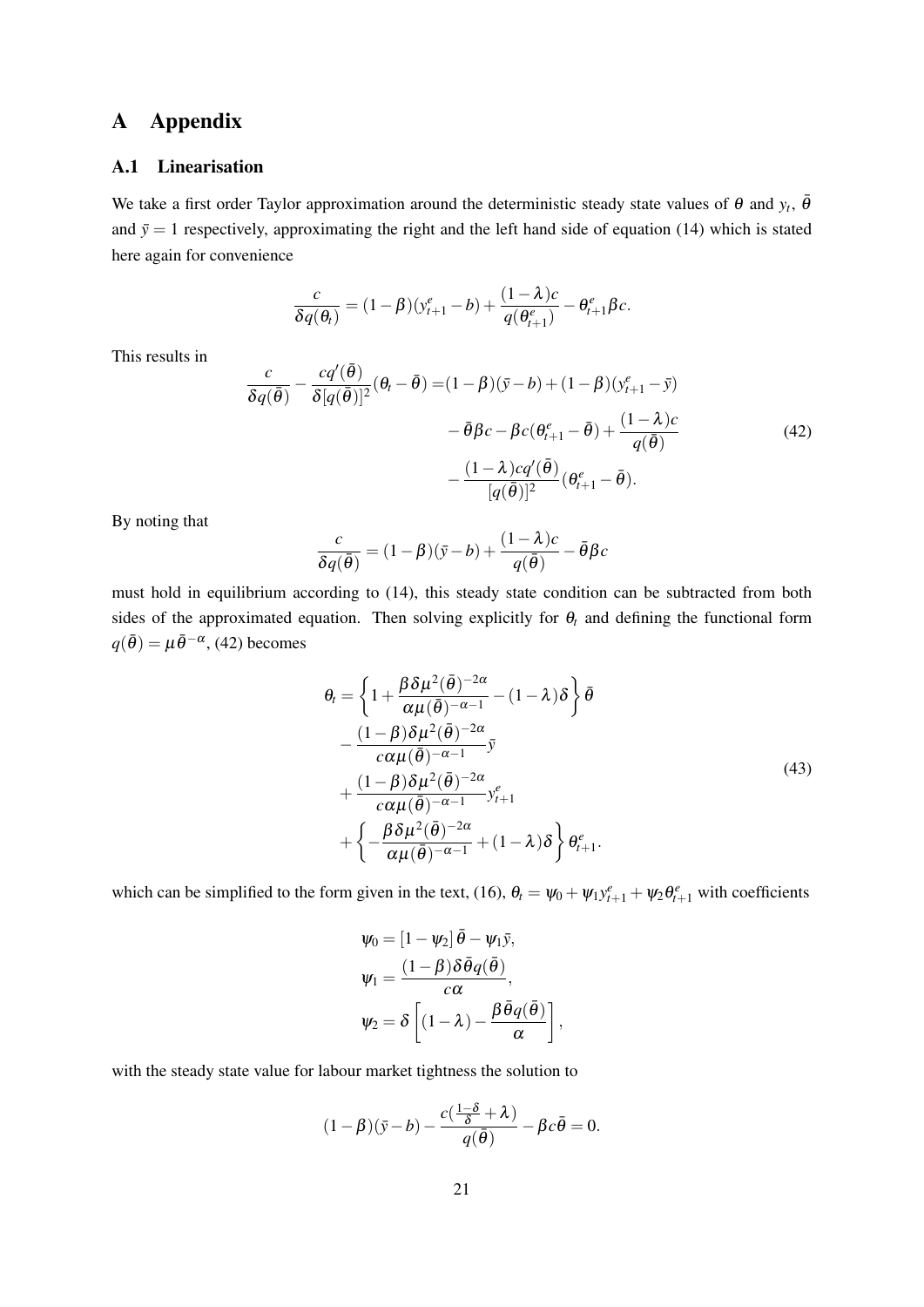# A Appendix

#### A.1 Linearisation

We take a first order Taylor approximation around the deterministic steady state values of  $\theta$  and  $y_t$ ,  $\bar{\theta}$ and  $\bar{y} = 1$  respectively, approximating the right and the left hand side of equation (14) which is stated here again for convenience

$$
\frac{c}{\delta q(\theta_t)} = (1-\beta)(y_{t+1}^e - b) + \frac{(1-\lambda)c}{q(\theta_{t+1}^e)} - \theta_{t+1}^e \beta c.
$$

This results in

$$
\frac{c}{\delta q(\bar{\theta})} - \frac{cq'(\bar{\theta})}{\delta[q(\bar{\theta})]^2}(\theta_t - \bar{\theta}) = (1 - \beta)(\bar{y} - b) + (1 - \beta)(y_{t+1}^e - \bar{y})
$$

$$
- \bar{\theta}\beta c - \beta c(\theta_{t+1}^e - \bar{\theta}) + \frac{(1 - \lambda)c}{q(\bar{\theta})}
$$

$$
- \frac{(1 - \lambda)cq'(\bar{\theta})}{[q(\bar{\theta})]^2}(\theta_{t+1}^e - \bar{\theta}).
$$
(42)

By noting that

$$
\frac{c}{\delta q(\bar{\theta})} = (1 - \beta)(\bar{y} - b) + \frac{(1 - \lambda)c}{q(\bar{\theta})} - \bar{\theta}\beta c
$$

must hold in equilibrium according to (14), this steady state condition can be subtracted from both sides of the approximated equation. Then solving explicitly for  $\theta_t$  and defining the functional form  $q(\bar{\theta}) = \mu \bar{\theta}^{-\alpha}$ , (42) becomes

$$
\theta_{t} = \left\{ 1 + \frac{\beta \delta \mu^{2}(\bar{\theta})^{-2\alpha}}{\alpha \mu(\bar{\theta})^{-\alpha - 1}} - (1 - \lambda)\delta \right\} \bar{\theta}
$$
  
 
$$
- \frac{(1 - \beta)\delta \mu^{2}(\bar{\theta})^{-2\alpha}}{c\alpha \mu(\bar{\theta})^{-\alpha - 1}} \bar{y}
$$
  
 
$$
+ \frac{(1 - \beta)\delta \mu^{2}(\bar{\theta})^{-2\alpha}}{c\alpha \mu(\bar{\theta})^{-\alpha - 1}} y_{t+1}^{e}
$$
  
 
$$
+ \left\{ -\frac{\beta \delta \mu^{2}(\bar{\theta})^{-2\alpha}}{\alpha \mu(\bar{\theta})^{-\alpha - 1}} + (1 - \lambda)\delta \right\} \theta_{t+1}^{e}.
$$
 (43)

,

which can be simplified to the form given in the text, (16),  $\theta_t = \psi_0 + \psi_1 y_{t+1}^e + \psi_2 \theta_{t+1}^e$  with coefficients

$$
\psi_0 = \left[1 - \psi_2\right] \bar{\theta} - \psi_1 \bar{y},
$$

$$
\psi_1 = \frac{(1 - \beta)\delta \bar{\theta} q(\bar{\theta})}{c\alpha},
$$

$$
\psi_2 = \delta \left[ (1 - \lambda) - \frac{\beta \bar{\theta} q(\bar{\theta})}{\alpha} \right]
$$

with the steady state value for labour market tightness the solution to

$$
(1 - \beta)(\bar{y} - b) - \frac{c(\frac{1 - \delta}{\delta} + \lambda)}{q(\bar{\theta})} - \beta c \bar{\theta} = 0.
$$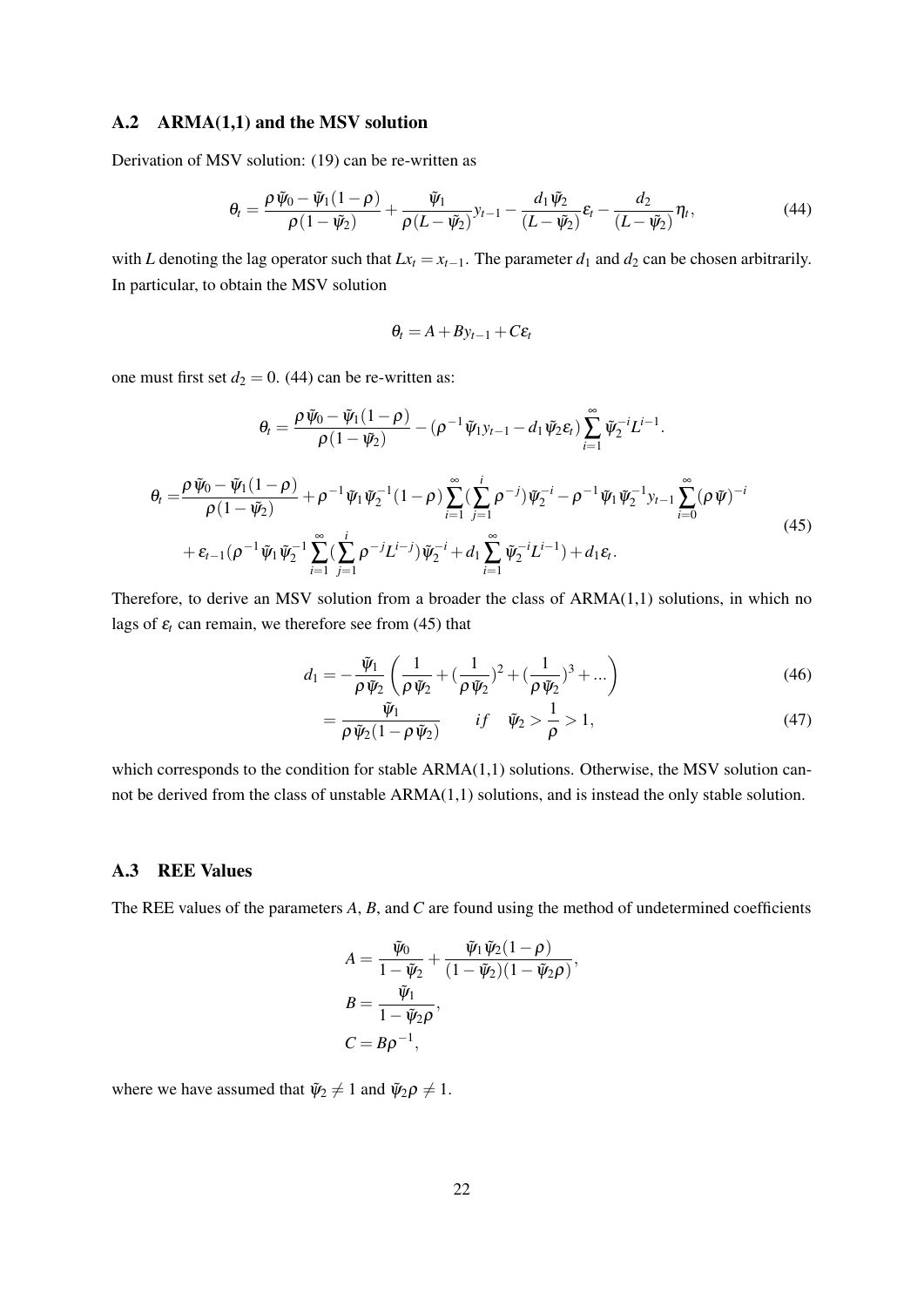#### A.2 ARMA(1,1) and the MSV solution

Derivation of MSV solution: (19) can be re-written as

$$
\theta_t = \frac{\rho \,\tilde{\psi}_0 - \tilde{\psi}_1(1-\rho)}{\rho\,(1-\tilde{\psi}_2)} + \frac{\tilde{\psi}_1}{\rho\,(L-\tilde{\psi}_2)} y_{t-1} - \frac{d_1 \tilde{\psi}_2}{(L-\tilde{\psi}_2)} \varepsilon_t - \frac{d_2}{(L-\tilde{\psi}_2)} \eta_t, \tag{44}
$$

with *L* denoting the lag operator such that  $Lx_t = x_{t-1}$ . The parameter  $d_1$  and  $d_2$  can be chosen arbitrarily. In particular, to obtain the MSV solution

$$
\theta_t = A + By_{t-1} + C\varepsilon_t
$$

one must first set  $d_2 = 0$ . (44) can be re-written as:

$$
\theta_{t} = \frac{\rho \,\tilde{\psi}_{0} - \tilde{\psi}_{1}(1-\rho)}{\rho\,(1-\tilde{\psi}_{2})} - (\rho^{-1} \tilde{\psi}_{1} y_{t-1} - d_{1} \tilde{\psi}_{2} \varepsilon_{t}) \sum_{i=1}^{\infty} \tilde{\psi}_{2}^{-i} L^{i-1}.
$$
\n
$$
\theta_{t} = \frac{\rho \,\tilde{\psi}_{0} - \tilde{\psi}_{1}(1-\rho)}{\rho\,(1-\tilde{\psi}_{2})} + \rho^{-1} \tilde{\psi}_{1} \tilde{\psi}_{2}^{-1}(1-\rho) \sum_{i=1}^{\infty} (\sum_{j=1}^{i} \rho^{-j}) \tilde{\psi}_{2}^{-i} - \rho^{-1} \tilde{\psi}_{1} \tilde{\psi}_{2}^{-1} y_{t-1} \sum_{i=0}^{\infty} (\rho \,\tilde{\psi})^{-i}
$$
\n
$$
+ \varepsilon_{t-1} (\rho^{-1} \tilde{\psi}_{1} \tilde{\psi}_{2}^{-1} \sum_{i=1}^{\infty} (\sum_{j=1}^{i} \rho^{-j} L^{i-j}) \tilde{\psi}_{2}^{-i} + d_{1} \sum_{i=1}^{\infty} \tilde{\psi}_{2}^{-i} L^{i-1}) + d_{1} \varepsilon_{t}.
$$
\n(45)

Therefore, to derive an MSV solution from a broader the class of ARMA(1,1) solutions, in which no lags of  $\varepsilon_t$  can remain, we therefore see from (45) that

$$
d_1 = -\frac{\tilde{\psi}_1}{\rho \tilde{\psi}_2} \left( \frac{1}{\rho \tilde{\psi}_2} + (\frac{1}{\rho \tilde{\psi}_2})^2 + (\frac{1}{\rho \tilde{\psi}_2})^3 + \dots \right)
$$
(46)

$$
=\frac{\tilde{\psi}_1}{\rho\,\tilde{\psi}_2(1-\rho\,\tilde{\psi}_2)}\qquad if\quad \tilde{\psi}_2>\frac{1}{\rho}>1,\tag{47}
$$

which corresponds to the condition for stable ARMA(1,1) solutions. Otherwise, the MSV solution cannot be derived from the class of unstable ARMA(1,1) solutions, and is instead the only stable solution.

#### A.3 REE Values

The REE values of the parameters *A*, *B*, and *C* are found using the method of undetermined coefficients

$$
A = \frac{\tilde{\psi}_0}{1 - \tilde{\psi}_2} + \frac{\tilde{\psi}_1 \tilde{\psi}_2 (1 - \rho)}{(1 - \tilde{\psi}_2)(1 - \tilde{\psi}_2 \rho)},
$$
  

$$
B = \frac{\tilde{\psi}_1}{1 - \tilde{\psi}_2 \rho},
$$
  

$$
C = B \rho^{-1},
$$

where we have assumed that  $\tilde{\psi}_2 \neq 1$  and  $\tilde{\psi}_2 \rho \neq 1$ .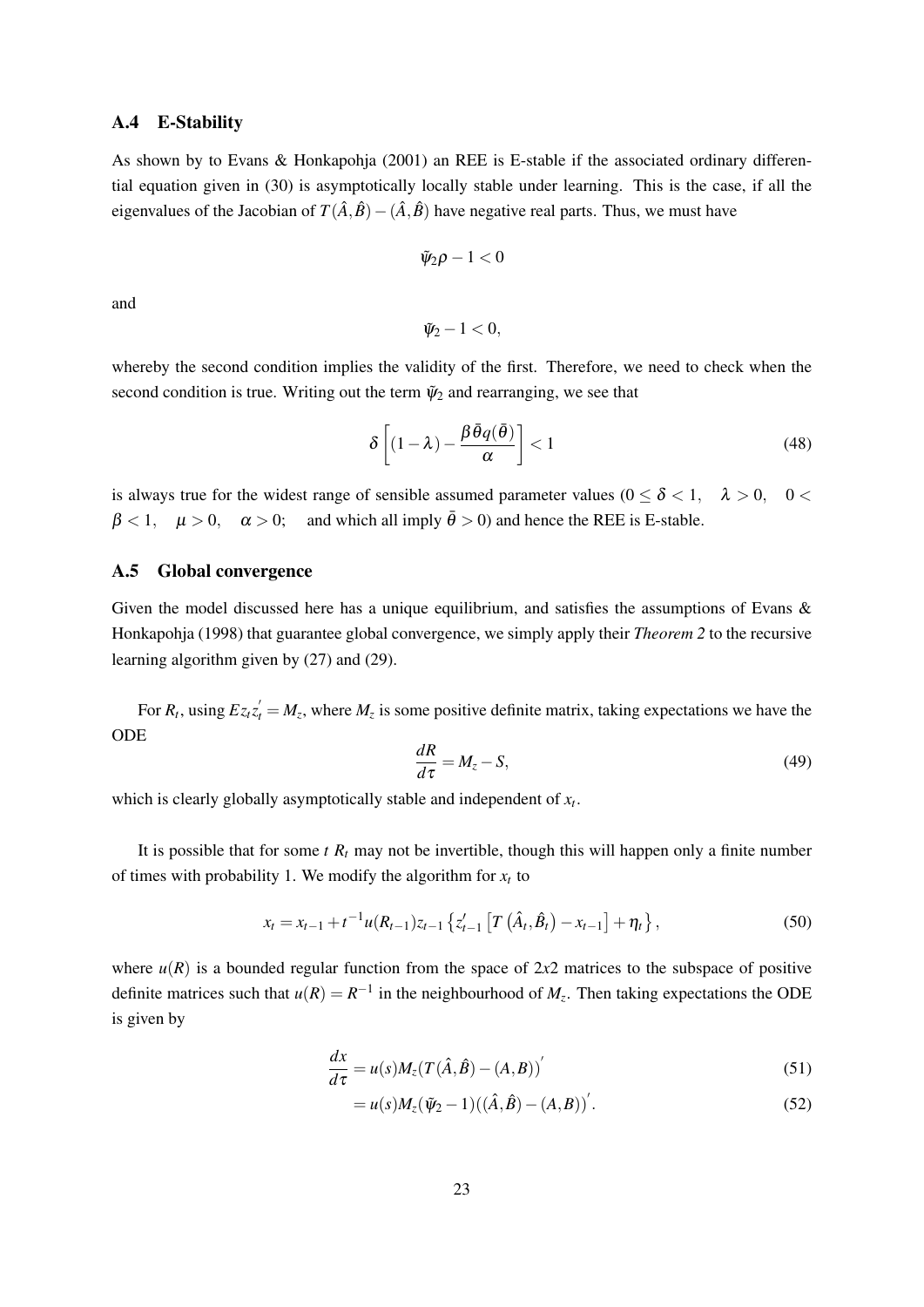#### A.4 E-Stability

As shown by to Evans & Honkapohja (2001) an REE is E-stable if the associated ordinary differential equation given in (30) is asymptotically locally stable under learning. This is the case, if all the eigenvalues of the Jacobian of  $T(\hat{A}, \hat{B}) - (\hat{A}, \hat{B})$  have negative real parts. Thus, we must have

$$
\tilde{\psi}_2 \rho - 1 < 0
$$

and

$$
\tilde{\psi}_2-1<0,
$$

whereby the second condition implies the validity of the first. Therefore, we need to check when the second condition is true. Writing out the term  $\tilde{\psi}_2$  and rearranging, we see that

$$
\delta \left[ (1 - \lambda) - \frac{\beta \bar{\theta} q(\bar{\theta})}{\alpha} \right] < 1 \tag{48}
$$

is always true for the widest range of sensible assumed parameter values ( $0 \le \delta < 1$ ,  $\lambda > 0$ ,  $0 <$  $\beta$  < 1,  $\mu$  > 0,  $\alpha$  > 0; and which all imply  $\bar{\theta}$  > 0) and hence the REE is E-stable.

#### A.5 Global convergence

Given the model discussed here has a unique equilibrium, and satisfies the assumptions of Evans & Honkapohja (1998) that guarantee global convergence, we simply apply their *Theorem 2* to the recursive learning algorithm given by (27) and (29).

For  $R_t$ , using  $E z_t z_t' = M_z$ , where  $M_z$  is some positive definite matrix, taking expectations we have the ODE

$$
\frac{dR}{d\tau} = M_z - S,\t\t(49)
$$

which is clearly globally asymptotically stable and independent of *x<sup>t</sup>* .

It is possible that for some  $t R_t$  may not be invertible, though this will happen only a finite number of times with probability 1. We modify the algorithm for  $x_t$  to

$$
x_{t} = x_{t-1} + t^{-1} u(R_{t-1}) z_{t-1} \left\{ z_{t-1}' \left[ T\left(\hat{A}_{t}, \hat{B}_{t}\right) - x_{t-1} \right] + \eta_{t} \right\},\tag{50}
$$

where  $u(R)$  is a bounded regular function from the space of 2x2 matrices to the subspace of positive definite matrices such that  $u(R) = R^{-1}$  in the neighbourhood of  $M_z$ . Then taking expectations the ODE is given by

$$
\frac{dx}{d\tau} = u(s)M_z(T(\hat{A}, \hat{B}) - (A, B))'
$$
\n(51)

$$
= u(s)M_z(\tilde{\psi}_2 - 1)((\hat{A}, \hat{B}) - (A, B))'.
$$
\n(52)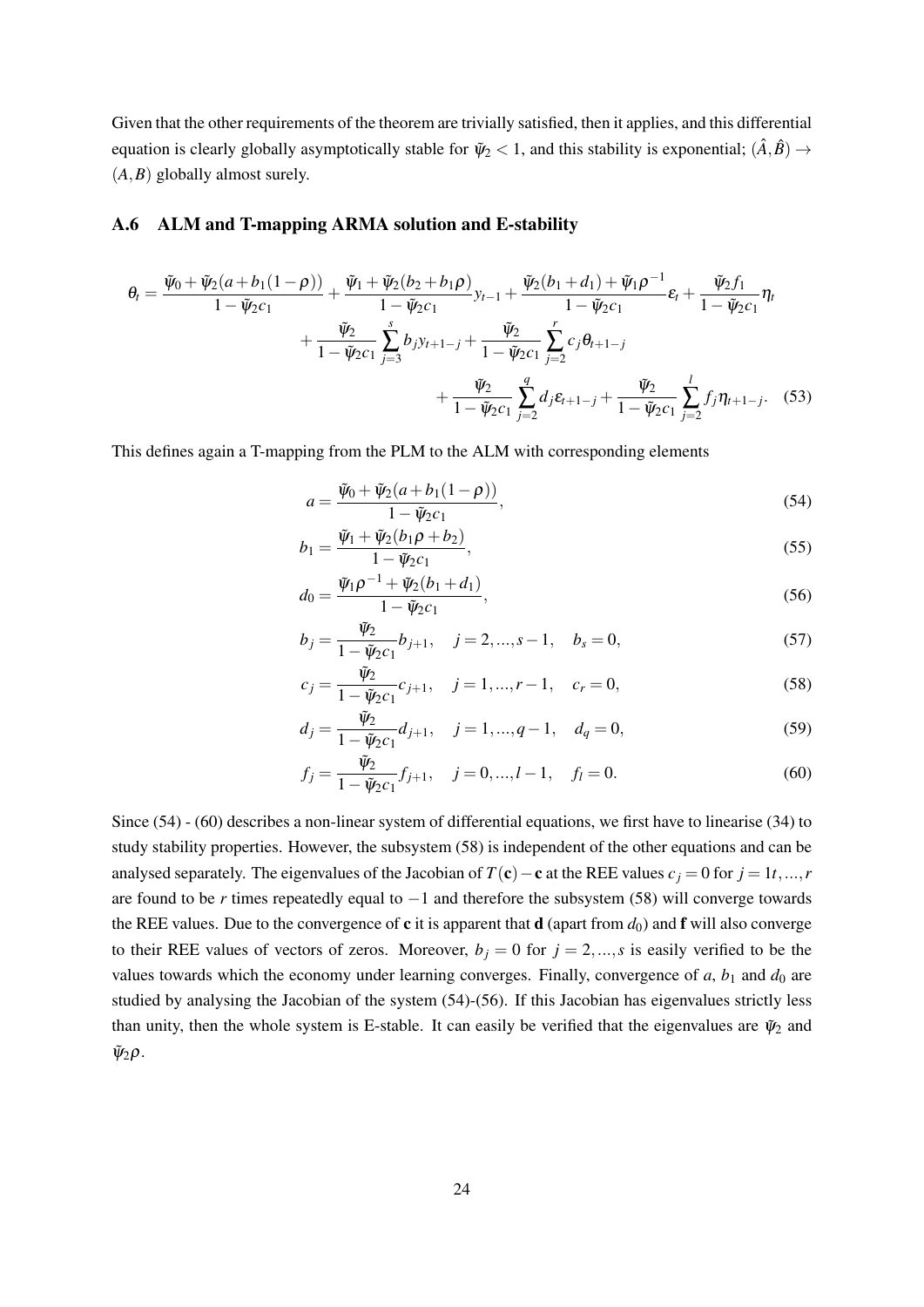Given that the other requirements of the theorem are trivially satisfied, then it applies, and this differential equation is clearly globally asymptotically stable for  $\Psi_2 < 1$ , and this stability is exponential;  $(\hat{A}, \hat{B}) \rightarrow$ (*A*,*B*) globally almost surely.

#### A.6 ALM and T-mapping ARMA solution and E-stability

$$
\theta_{t} = \frac{\tilde{\psi}_{0} + \tilde{\psi}_{2}(a+b_{1}(1-\rho))}{1-\tilde{\psi}_{2}c_{1}} + \frac{\tilde{\psi}_{1} + \tilde{\psi}_{2}(b_{2}+b_{1}\rho)}{1-\tilde{\psi}_{2}c_{1}} y_{t-1} + \frac{\tilde{\psi}_{2}(b_{1}+d_{1}) + \tilde{\psi}_{1}\rho^{-1}}{1-\tilde{\psi}_{2}c_{1}} \mathcal{E}_{t} + \frac{\tilde{\psi}_{2}f_{1}}{1-\tilde{\psi}_{2}c_{1}} \eta_{t} + \frac{\tilde{\psi}_{2}}{1-\tilde{\psi}_{2}c_{1}} \sum_{j=3}^{s} b_{j}y_{t+1-j} + \frac{\tilde{\psi}_{2}}{1-\tilde{\psi}_{2}c_{1}} \sum_{j=2}^{r} c_{j} \theta_{t+1-j} + \frac{\tilde{\psi}_{2}}{1-\tilde{\psi}_{2}c_{1}} \sum_{j=2}^{q} d_{j} \varepsilon_{t+1-j} + \frac{\tilde{\psi}_{2}}{1-\tilde{\psi}_{2}c_{1}} \sum_{j=2}^{l} f_{j} \eta_{t+1-j}.
$$
 (53)

This defines again a T-mapping from the PLM to the ALM with corresponding elements

$$
a = \frac{\tilde{\psi}_0 + \tilde{\psi}_2(a + b_1(1 - \rho))}{1 - \tilde{\psi}_2 c_1},
$$
\n(54)

$$
b_1 = \frac{\tilde{\psi}_1 + \tilde{\psi}_2(b_1\rho + b_2)}{1 - \tilde{\psi}_2 c_1},
$$
\n(55)

$$
d_0 = \frac{\tilde{\psi}_1 \rho^{-1} + \tilde{\psi}_2(b_1 + d_1)}{1 - \tilde{\psi}_2 c_1},
$$
\n(56)

$$
b_j = \frac{\tilde{\psi}_2}{1 - \tilde{\psi}_2 c_1} b_{j+1}, \quad j = 2, ..., s - 1, \quad b_s = 0,
$$
\n<sup>(57)</sup>

$$
c_j = \frac{\tilde{\psi}_2}{1 - \tilde{\psi}_2 c_1} c_{j+1}, \quad j = 1, ..., r - 1, \quad c_r = 0,
$$
\n(58)

$$
d_j = \frac{\tilde{\psi}_2}{1 - \tilde{\psi}_2 c_1} d_{j+1}, \quad j = 1, ..., q - 1, \quad d_q = 0,
$$
\n(59)

$$
f_j = \frac{\tilde{\psi}_2}{1 - \tilde{\psi}_2 c_1} f_{j+1}, \quad j = 0, ..., l-1, \quad f_l = 0.
$$
 (60)

Since (54) - (60) describes a non-linear system of differential equations, we first have to linearise (34) to study stability properties. However, the subsystem (58) is independent of the other equations and can be analysed separately. The eigenvalues of the Jacobian of  $T(c) - c$  at the REE values  $c_j = 0$  for  $j = 1t, ..., r$ are found to be *r* times repeatedly equal to −1 and therefore the subsystem (58) will converge towards the REE values. Due to the convergence of  $c$  it is apparent that  $d$  (apart from  $d_0$ ) and  $f$  will also converge to their REE values of vectors of zeros. Moreover,  $b_j = 0$  for  $j = 2,...,s$  is easily verified to be the values towards which the economy under learning converges. Finally, convergence of  $a$ ,  $b_1$  and  $d_0$  are studied by analysing the Jacobian of the system (54)-(56). If this Jacobian has eigenvalues strictly less than unity, then the whole system is E-stable. It can easily be verified that the eigenvalues are  $\tilde{\psi}_2$  and  $\tilde{\psi}_2 \rho$ .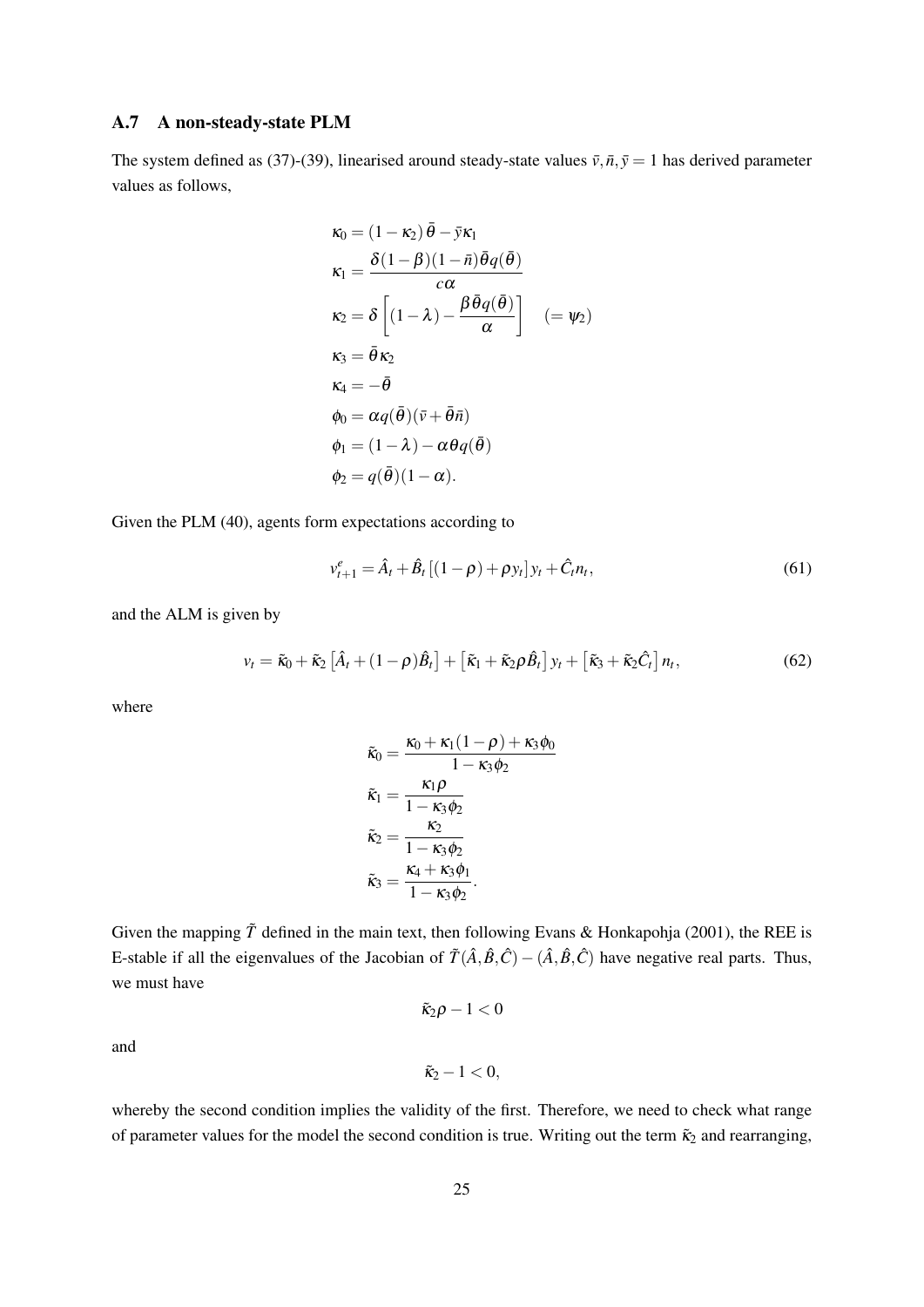#### A.7 A non-steady-state PLM

The system defined as (37)-(39), linearised around steady-state values  $\bar{v}$ ,  $\bar{n}$ ,  $\bar{y} = 1$  has derived parameter values as follows,

$$
\kappa_0 = (1 - \kappa_2) \bar{\theta} - \bar{y}\kappa_1
$$
  
\n
$$
\kappa_1 = \frac{\delta(1 - \beta)(1 - \bar{n})\bar{\theta}q(\bar{\theta})}{c\alpha}
$$
  
\n
$$
\kappa_2 = \delta \left[ (1 - \lambda) - \frac{\beta \bar{\theta}q(\bar{\theta})}{\alpha} \right] \quad (= \psi_2)
$$
  
\n
$$
\kappa_3 = \bar{\theta}\kappa_2
$$
  
\n
$$
\kappa_4 = -\bar{\theta}
$$
  
\n
$$
\phi_0 = \alpha q(\bar{\theta})(\bar{v} + \bar{\theta}\bar{n})
$$
  
\n
$$
\phi_1 = (1 - \lambda) - \alpha \theta q(\bar{\theta})
$$
  
\n
$$
\phi_2 = q(\bar{\theta})(1 - \alpha).
$$

Given the PLM (40), agents form expectations according to

$$
v_{t+1}^e = \hat{A}_t + \hat{B}_t [(1 - \rho) + \rho y_t] y_t + \hat{C}_t n_t,
$$
\n(61)

and the ALM is given by

$$
v_t = \tilde{\kappa}_0 + \tilde{\kappa}_2 \left[ \hat{A}_t + (1 - \rho) \hat{B}_t \right] + \left[ \tilde{\kappa}_1 + \tilde{\kappa}_2 \rho \hat{B}_t \right] y_t + \left[ \tilde{\kappa}_3 + \tilde{\kappa}_2 \hat{C}_t \right] n_t,
$$
\n(62)

where

$$
\tilde{\kappa}_0 = \frac{\kappa_0 + \kappa_1(1-\rho) + \kappa_3\phi_0}{1 - \kappa_3\phi_2}
$$
\n
$$
\tilde{\kappa}_1 = \frac{\kappa_1\rho}{1 - \kappa_3\phi_2}
$$
\n
$$
\tilde{\kappa}_2 = \frac{\kappa_2}{1 - \kappa_3\phi_2}
$$
\n
$$
\tilde{\kappa}_3 = \frac{\kappa_4 + \kappa_3\phi_1}{1 - \kappa_3\phi_2}.
$$

Given the mapping  $\tilde{T}$  defined in the main text, then following Evans & Honkapohja (2001), the REE is E-stable if all the eigenvalues of the Jacobian of  $\tilde{T}(\hat{A}, \hat{B}, \hat{C}) - (\hat{A}, \hat{B}, \hat{C})$  have negative real parts. Thus, we must have

 $\tilde{\kappa}_2 \rho - 1 < 0$ 

and

$$
\tilde{\kappa}_2-1<0,
$$

whereby the second condition implies the validity of the first. Therefore, we need to check what range of parameter values for the model the second condition is true. Writing out the term  $\tilde{\kappa}_2$  and rearranging,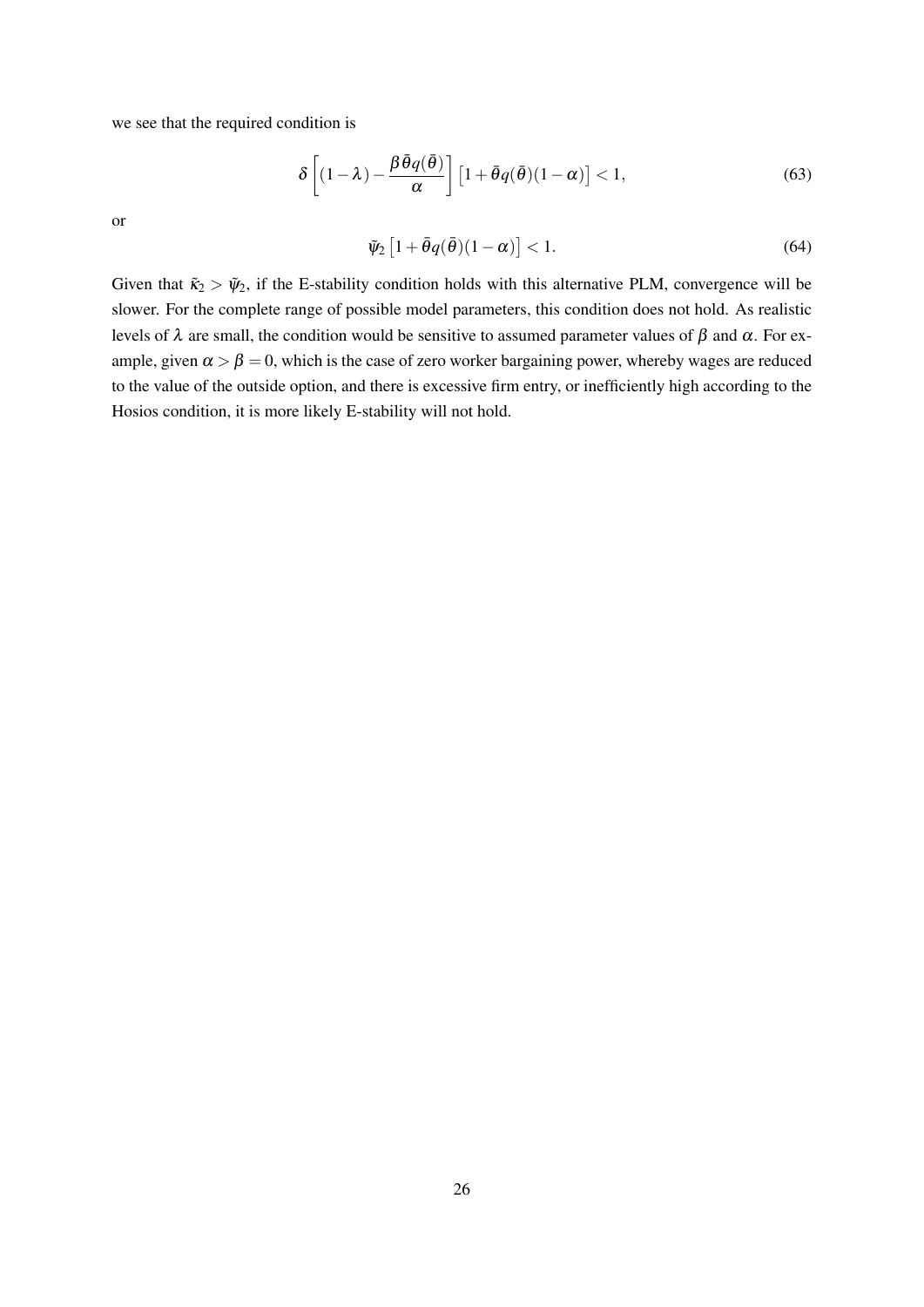we see that the required condition is

$$
\delta \left[ (1 - \lambda) - \frac{\beta \bar{\theta} q(\bar{\theta})}{\alpha} \right] \left[ 1 + \bar{\theta} q(\bar{\theta}) (1 - \alpha) \right] < 1,\tag{63}
$$

or

$$
\tilde{\psi}_2 \left[ 1 + \bar{\theta} q(\bar{\theta}) (1 - \alpha) \right] < 1. \tag{64}
$$

Given that  $\tilde{\kappa}_2 > \tilde{\psi}_2$ , if the E-stability condition holds with this alternative PLM, convergence will be slower. For the complete range of possible model parameters, this condition does not hold. As realistic levels of  $\lambda$  are small, the condition would be sensitive to assumed parameter values of  $\beta$  and α. For example, given  $\alpha > \beta = 0$ , which is the case of zero worker bargaining power, whereby wages are reduced to the value of the outside option, and there is excessive firm entry, or inefficiently high according to the Hosios condition, it is more likely E-stability will not hold.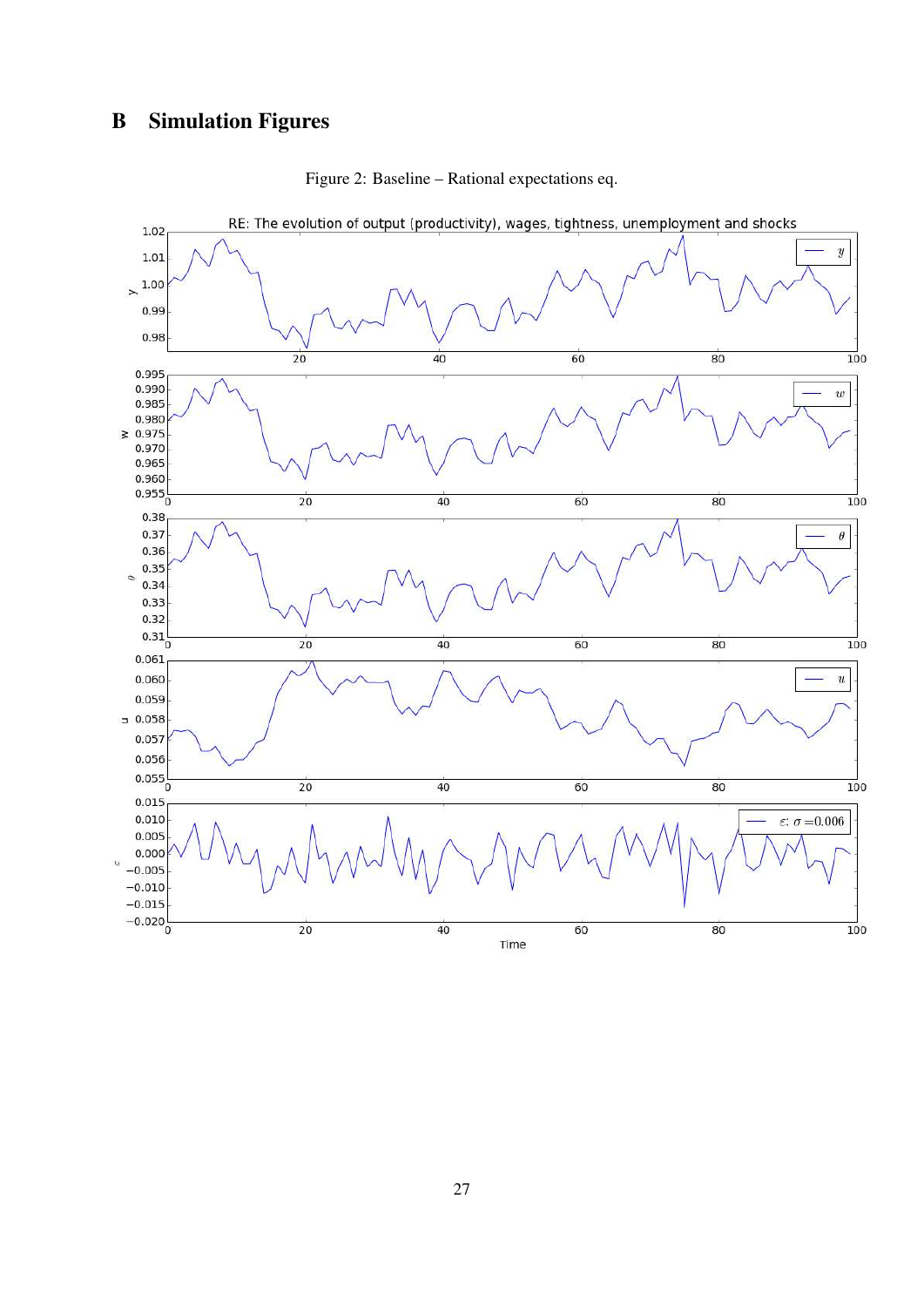# B Simulation Figures



Figure 2: Baseline – Rational expectations eq.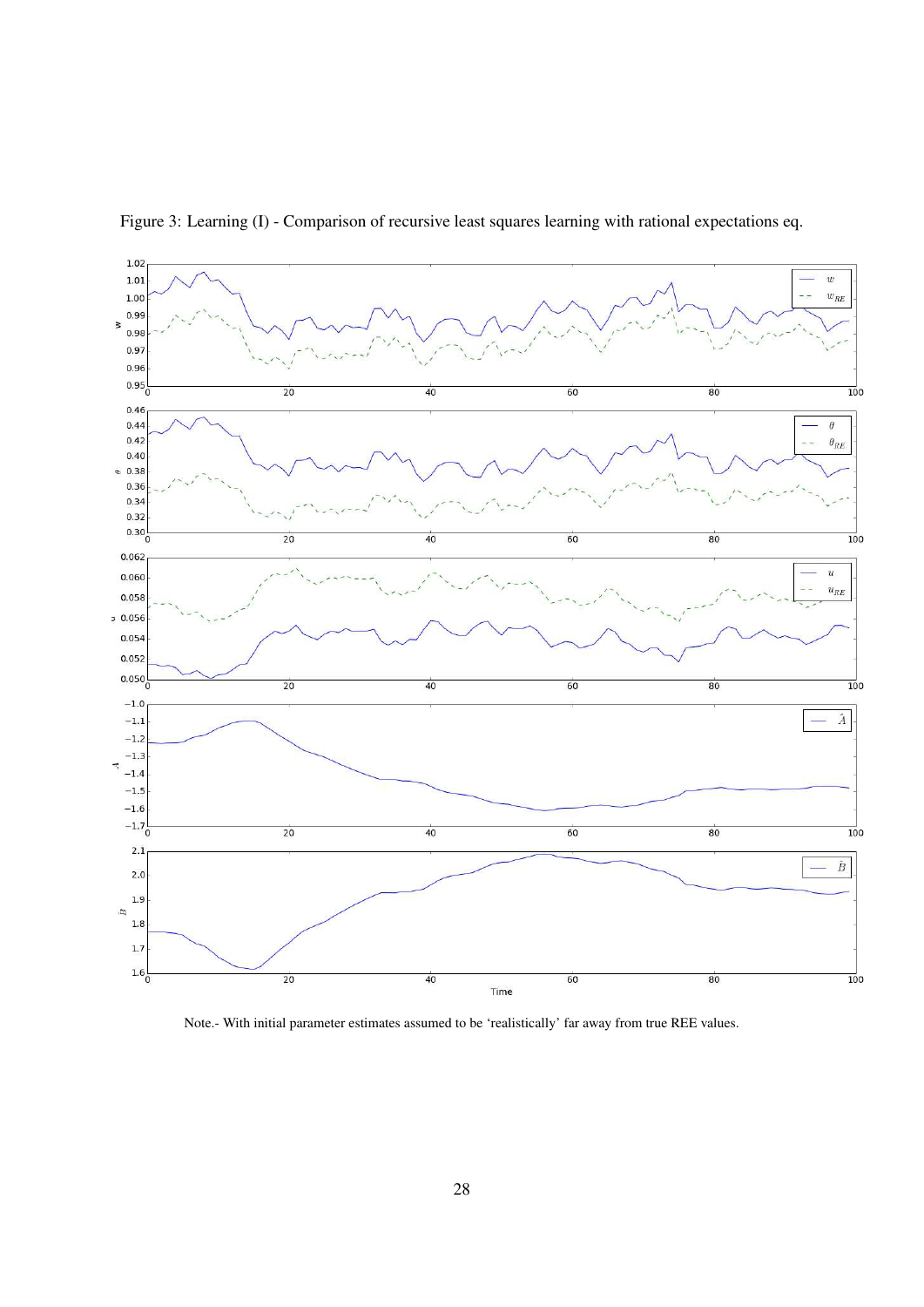

Figure 3: Learning (I) - Comparison of recursive least squares learning with rational expectations eq.

Note.- With initial parameter estimates assumed to be 'realistically' far away from true REE values.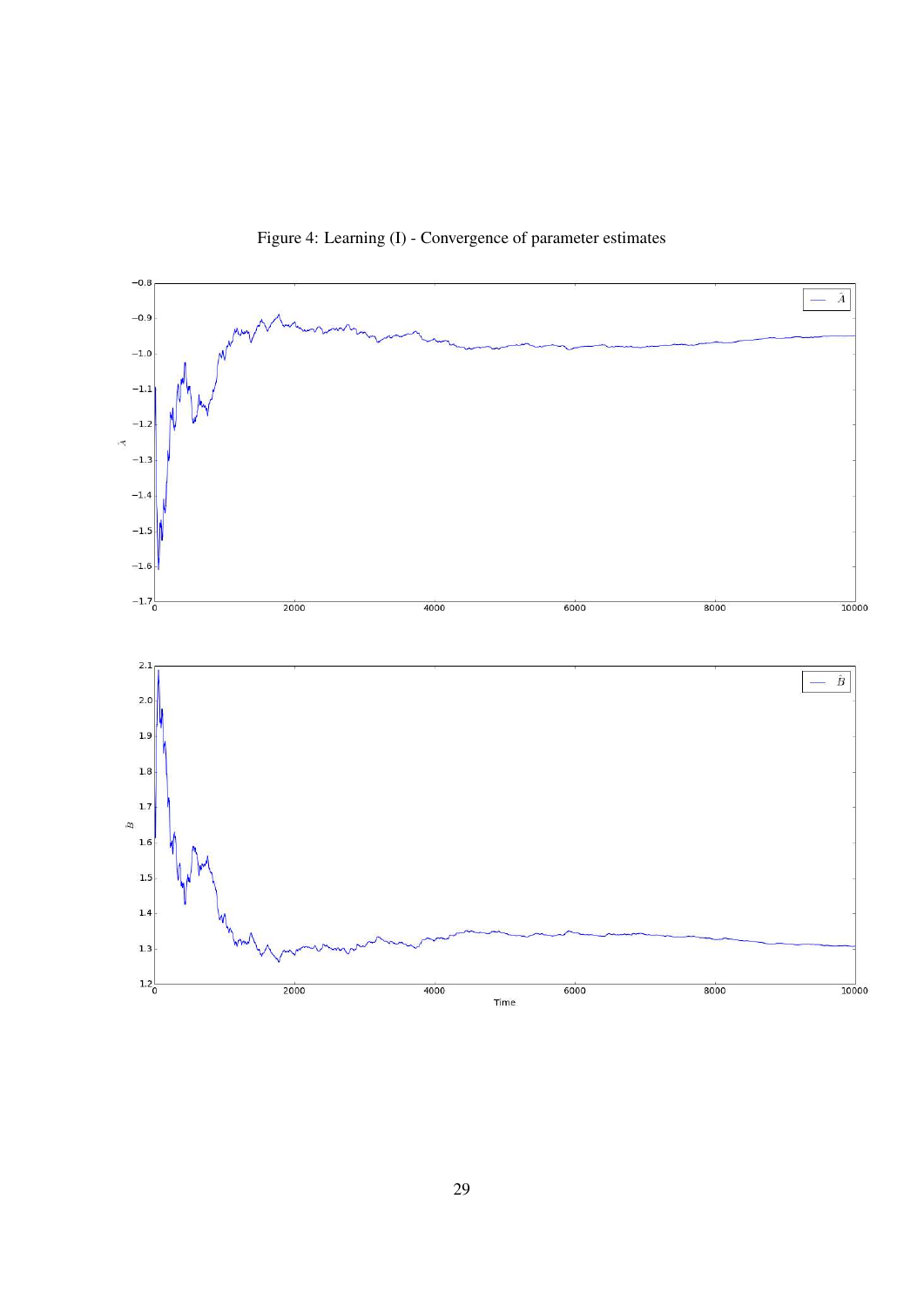

Figure 4: Learning (I) - Convergence of parameter estimates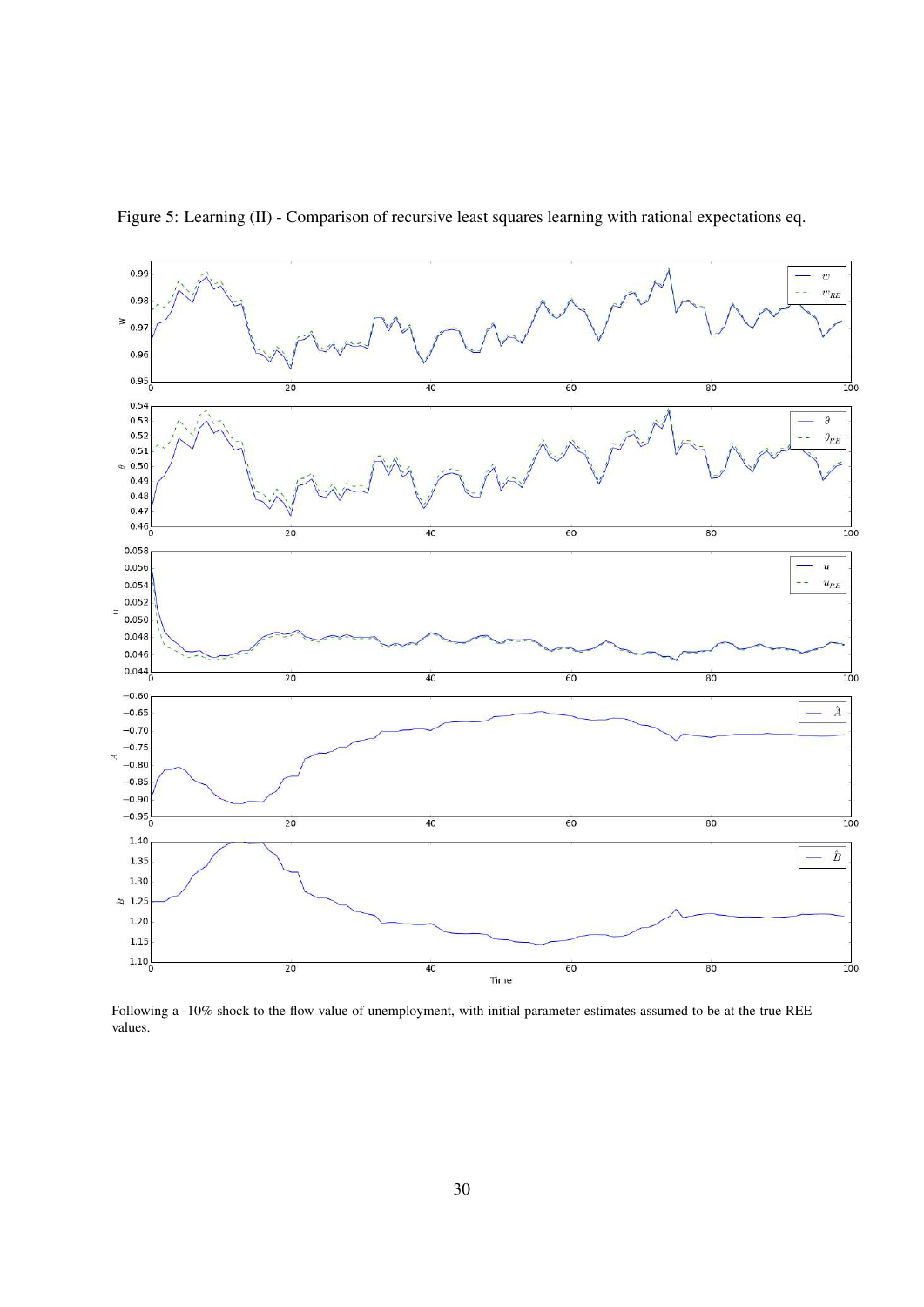

Figure 5: Learning (II) - Comparison of recursive least squares learning with rational expectations eq.

Following a -10% shock to the flow value of unemployment, with initial parameter estimates assumed to be at the true REE values.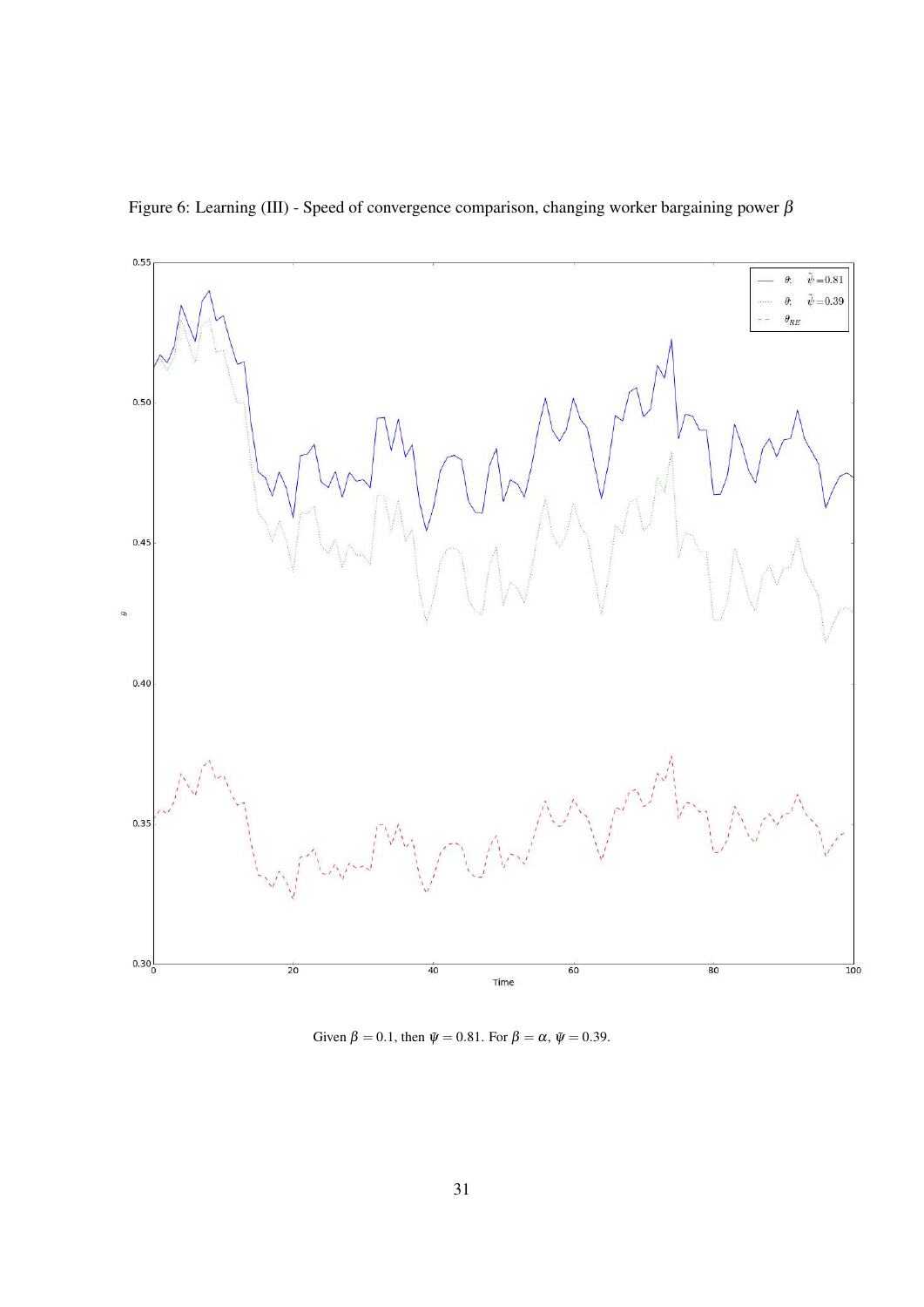

Figure 6: Learning (III) - Speed of convergence comparison, changing worker bargaining power  $\beta$ 

Given  $\beta = 0.1$ , then  $\tilde{\psi} = 0.81$ . For  $\beta = \alpha$ ,  $\tilde{\psi} = 0.39$ .